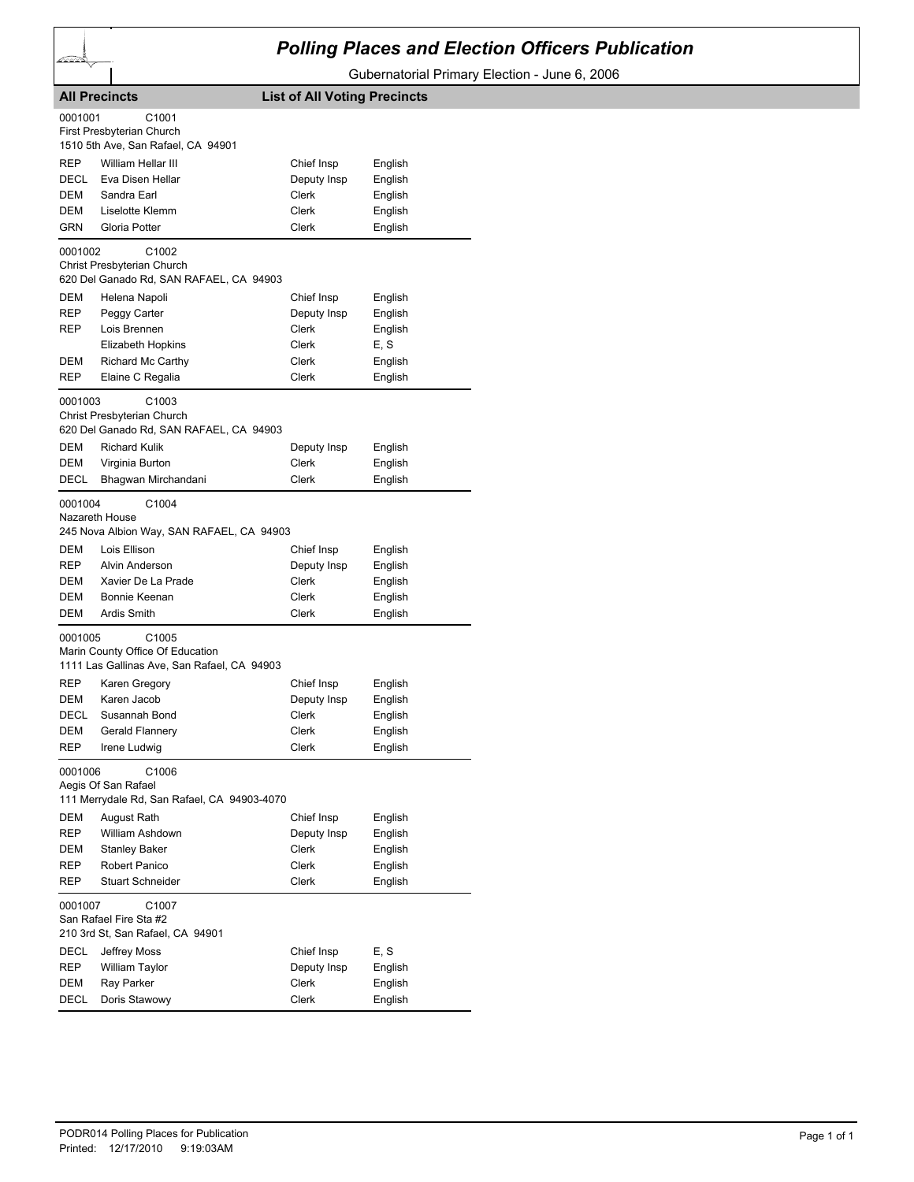## *Polling Places and Election Officers Publication*

Gubernatorial Primary Election - June 6, 2006

|                           | <b>All Precincts</b>                                                                                 | <b>List of All Voting Precincts</b> |                               |
|---------------------------|------------------------------------------------------------------------------------------------------|-------------------------------------|-------------------------------|
| 0001001                   | C <sub>1001</sub><br>First Presbyterian Church<br>1510 5th Ave, San Rafael, CA 94901                 |                                     |                               |
| REP<br>DECL<br>DEM        | William Hellar III<br>Eva Disen Hellar<br>Sandra Earl                                                | Chief Insp<br>Deputy Insp<br>Clerk  | English<br>English<br>English |
| DEM<br>GRN                | Liselotte Klemm<br>Gloria Potter                                                                     | Clerk<br>Clerk                      | English<br>English            |
| 0001002                   | C <sub>1002</sub><br>Christ Presbyterian Church<br>620 Del Ganado Rd, SAN RAFAEL, CA 94903           |                                     |                               |
| DEM                       | Helena Napoli                                                                                        | Chief Insp                          | English                       |
| REP                       | Peggy Carter                                                                                         | Deputy Insp                         | English                       |
| REP                       | Lois Brennen                                                                                         | Clerk                               | English                       |
|                           | Elizabeth Hopkins                                                                                    | Clerk                               | E, S                          |
| DEM                       | Richard Mc Carthy                                                                                    | Clerk                               | English                       |
| <b>REP</b>                | Elaine C Regalia                                                                                     | Clerk                               | English                       |
| 0001003                   | C <sub>1003</sub><br>Christ Presbyterian Church<br>620 Del Ganado Rd, SAN RAFAEL, CA 94903           |                                     |                               |
| DEM                       | <b>Richard Kulik</b>                                                                                 | Deputy Insp                         | English                       |
| DEM                       | Virginia Burton                                                                                      | Clerk                               | English                       |
| DECL                      | Bhagwan Mirchandani                                                                                  | Clerk                               | English                       |
| 0001004<br>Nazareth House | C1004<br>245 Nova Albion Way, SAN RAFAEL, CA 94903                                                   |                                     |                               |
| DEM                       | Lois Ellison                                                                                         | Chief Insp                          | English                       |
| REP                       | Alvin Anderson                                                                                       | Deputy Insp                         | English                       |
| DEM                       | Xavier De La Prade                                                                                   | Clerk                               | English                       |
| DEM                       | Bonnie Keenan                                                                                        | Clerk                               | English                       |
| DEM                       | <b>Ardis Smith</b>                                                                                   | Clerk                               | English                       |
| 0001005                   | C <sub>1005</sub><br>Marin County Office Of Education<br>1111 Las Gallinas Ave, San Rafael, CA 94903 |                                     |                               |
| REP                       | Karen Gregory                                                                                        | Chief Insp                          | English                       |
| DEM                       | Karen Jacob                                                                                          | Deputy Insp                         | English                       |
| <b>DECL</b>               | Susannah Bond                                                                                        | Clerk                               | English                       |
| DEM                       | Gerald Flannery                                                                                      | Clerk                               | English                       |
| <b>REP</b>                | Irene Ludwig                                                                                         | Clerk                               | English                       |
| 0001006                   | C1006<br>Aegis Of San Rafael<br>111 Merrydale Rd, San Rafael, CA 94903-4070                          |                                     |                               |
| DEM                       | August Rath                                                                                          | Chief Insp                          | English                       |
| <b>REP</b>                | William Ashdown                                                                                      | Deputy Insp                         | English                       |
| <b>DEM</b>                | <b>Stanley Baker</b>                                                                                 | Clerk                               | English                       |
| REP                       | Robert Panico                                                                                        | Clerk                               | English                       |
| REP                       | <b>Stuart Schneider</b>                                                                              | <b>Clerk</b>                        | English                       |
| 0001007                   | C1007<br>San Rafael Fire Sta #2<br>210 3rd St, San Rafael, CA 94901                                  |                                     |                               |
| DECL                      | Jeffrey Moss                                                                                         | Chief Insp                          | E, S                          |
| REP                       | William Taylor                                                                                       | Deputy Insp                         | English                       |
| DEM                       | Ray Parker                                                                                           | Clerk                               | English                       |
| DECL                      | Doris Stawowy                                                                                        | Clerk                               | English                       |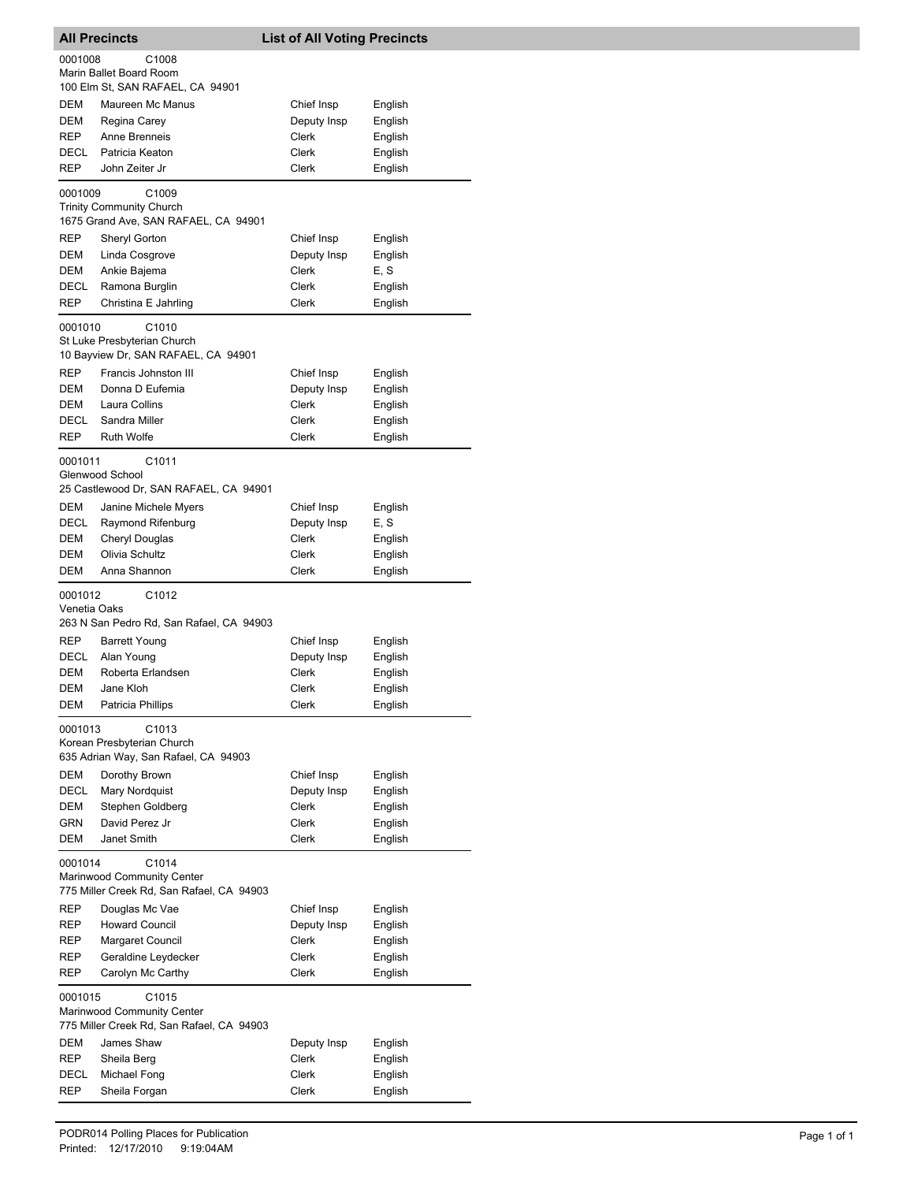|                         | <b>All Precincts</b>                      | <b>List of All Voting Precincts</b> |                    |
|-------------------------|-------------------------------------------|-------------------------------------|--------------------|
| 0001008                 | C1008<br>Marin Ballet Board Room          |                                     |                    |
|                         | 100 Elm St, SAN RAFAEL, CA 94901          |                                     |                    |
| DEM                     | Maureen Mc Manus                          | Chief Insp                          | English            |
| <b>DEM</b>              | Regina Carey                              | Deputy Insp                         | English            |
| REP                     | Anne Brenneis                             | Clerk                               | English            |
| DECL                    | Patricia Keaton                           | Clerk                               | English            |
| REP                     | John Zeiter Jr                            | Clerk                               | English            |
| 0001009                 | C <sub>1009</sub>                         |                                     |                    |
|                         | <b>Trinity Community Church</b>           |                                     |                    |
|                         | 1675 Grand Ave, SAN RAFAEL, CA 94901      |                                     |                    |
| REP                     | Sheryl Gorton                             | Chief Insp                          | English            |
| DEM<br>DEM              | Linda Cosgrove<br>Ankie Bajema            | Deputy Insp<br>Clerk                | English<br>E, S    |
| DECL                    | Ramona Burglin                            | Clerk                               | English            |
| REP                     | Christina E Jahrling                      | Clerk                               | English            |
|                         |                                           |                                     |                    |
| 0001010                 | C1010<br>St Luke Presbyterian Church      |                                     |                    |
|                         | 10 Bayview Dr, SAN RAFAEL, CA 94901       |                                     |                    |
| REP                     | Francis Johnston III                      | Chief Insp                          | English            |
| DEM                     | Donna D Eufemia                           | Deputy Insp                         | English            |
| DEM                     | Laura Collins                             | Clerk                               | English            |
| DECL                    | Sandra Miller                             | Clerk                               | English            |
| REP                     | <b>Ruth Wolfe</b>                         | Clerk                               | English            |
| 0001011                 | C1011                                     |                                     |                    |
|                         | Glenwood School                           |                                     |                    |
|                         | 25 Castlewood Dr, SAN RAFAEL, CA 94901    |                                     |                    |
| DEM                     | Janine Michele Myers                      | Chief Insp                          | English            |
| DECL                    | Raymond Rifenburg                         | Deputy Insp                         | E, S               |
| DEM                     | Cheryl Douglas                            | Clerk                               | English            |
| DEM<br>DEM              | Olivia Schultz<br>Anna Shannon            | Clerk<br>Clerk                      | English<br>English |
|                         |                                           |                                     |                    |
| 0001012<br>Venetia Oaks | C1012                                     |                                     |                    |
|                         | 263 N San Pedro Rd, San Rafael, CA 94903  |                                     |                    |
| <b>REP</b>              | <b>Barrett Young</b>                      | Chief Insp                          | English            |
| DECL                    | Alan Young                                | Deputy Insp                         | English            |
| DEM                     | Roberta Erlandsen                         | Clerk                               | English            |
| DEM                     | Jane Kloh                                 | Clerk                               | English            |
| DEM                     | Patricia Phillips                         | Clerk                               | English            |
| 0001013                 | C1013                                     |                                     |                    |
|                         | Korean Presbyterian Church                |                                     |                    |
|                         | 635 Adrian Way, San Rafael, CA 94903      |                                     |                    |
| DEM                     | Dorothy Brown                             | Chief Insp                          | English            |
| DECL                    | Mary Nordquist                            | Deputy Insp                         | English            |
| DEM<br>GRN              | Stephen Goldberg<br>David Perez Jr        | Clerk<br>Clerk                      | English            |
| DEM                     | Janet Smith                               | Clerk                               | English<br>English |
|                         |                                           |                                     |                    |
| 0001014                 | C1014<br>Marinwood Community Center       |                                     |                    |
|                         | 775 Miller Creek Rd, San Rafael, CA 94903 |                                     |                    |
| REP                     | Douglas Mc Vae                            | Chief Insp                          | English            |
| REP                     | <b>Howard Council</b>                     | Deputy Insp                         | English            |
| REP                     | Margaret Council                          | Clerk                               | English            |
| REP                     | Geraldine Leydecker                       | Clerk                               | English            |
| REP                     | Carolyn Mc Carthy                         | Clerk                               | English            |
| 0001015                 | C1015                                     |                                     |                    |
|                         | Marinwood Community Center                |                                     |                    |
|                         | 775 Miller Creek Rd, San Rafael, CA 94903 |                                     |                    |
| DEM                     | James Shaw                                | Deputy Insp                         | English            |
| REP                     | Sheila Berg                               | Clerk                               | English            |
| DECL                    | Michael Fong                              | Clerk                               | English            |
| REP                     | Sheila Forgan                             | Clerk                               | English            |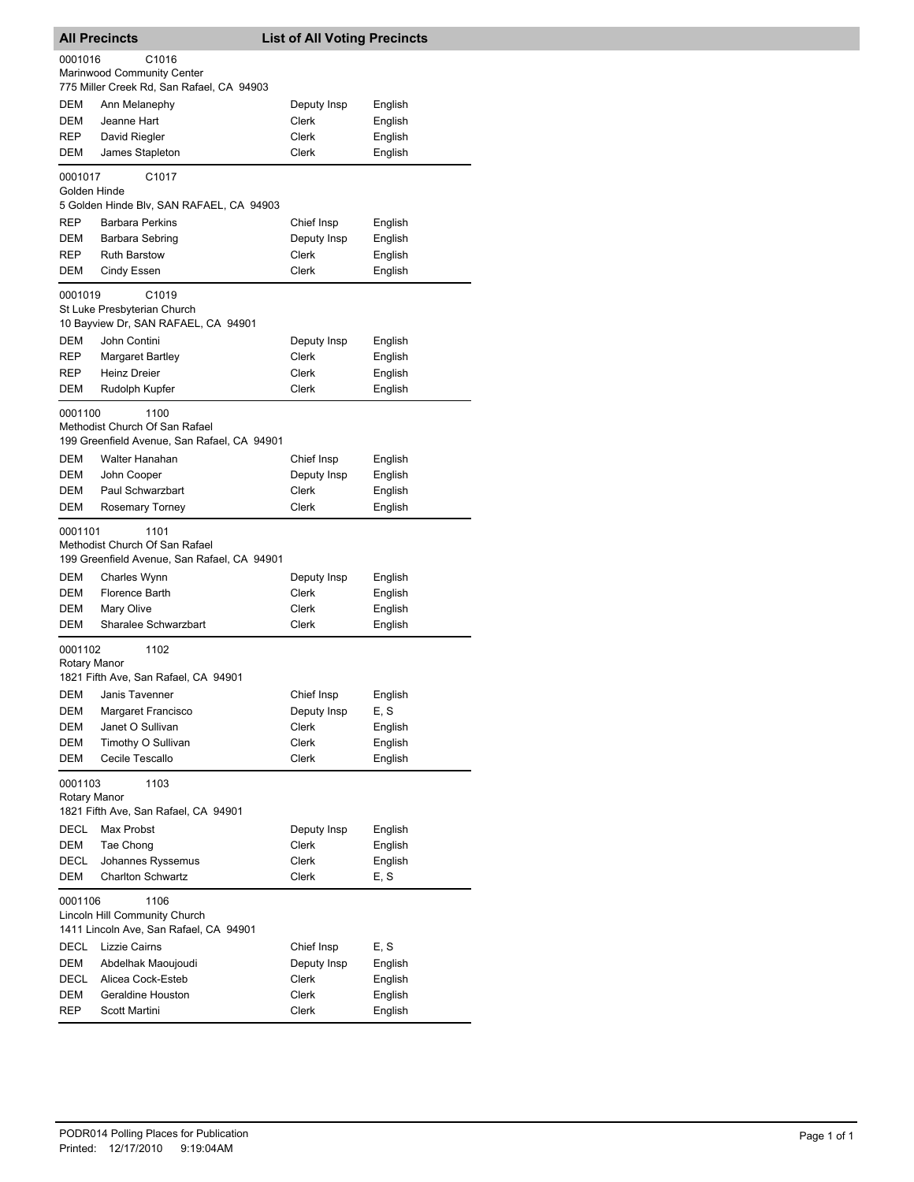| <b>All Precincts</b>    |                                                                                                         | <b>List of All Voting Precincts</b> |         |  |
|-------------------------|---------------------------------------------------------------------------------------------------------|-------------------------------------|---------|--|
| 0001016                 | C1016                                                                                                   |                                     |         |  |
|                         | Marinwood Community Center                                                                              |                                     |         |  |
|                         | 775 Miller Creek Rd, San Rafael, CA 94903                                                               |                                     |         |  |
| DEM                     | Ann Melanephy                                                                                           | Deputy Insp                         | English |  |
| DEM                     | Jeanne Hart                                                                                             | Clerk                               | English |  |
| REP                     | David Riegler                                                                                           | Clerk                               | English |  |
| DEM                     | James Stapleton                                                                                         | Clerk                               | English |  |
| 0001017<br>Golden Hinde | C1017                                                                                                   |                                     |         |  |
|                         | 5 Golden Hinde Blv, SAN RAFAEL, CA 94903                                                                |                                     |         |  |
| REP                     | <b>Barbara Perkins</b>                                                                                  | Chief Insp                          | English |  |
| DEM                     | Barbara Sebring                                                                                         | Deputy Insp                         | English |  |
| REP                     | <b>Ruth Barstow</b>                                                                                     | Clerk                               | English |  |
| DEM                     | Cindy Essen                                                                                             | Clerk                               | English |  |
| 0001019                 | C1019<br>St Luke Presbyterian Church<br>10 Bayview Dr, SAN RAFAEL, CA 94901                             |                                     |         |  |
| DEM                     | John Contini                                                                                            | Deputy Insp                         | English |  |
| REP                     | Margaret Bartley                                                                                        | Clerk                               | English |  |
| REP                     | <b>Heinz Dreier</b>                                                                                     | Clerk                               | English |  |
| DEM                     | Rudolph Kupfer                                                                                          | Clerk                               | English |  |
| 0001100<br>DEM          | 1100<br>Methodist Church Of San Rafael<br>199 Greenfield Avenue, San Rafael, CA 94901<br>Walter Hanahan | Chief Insp                          | English |  |
| DEM                     | John Cooper                                                                                             | Deputy Insp                         | English |  |
| DEM                     | Paul Schwarzbart                                                                                        | Clerk                               | English |  |
| DEM                     | Rosemary Torney                                                                                         | Clerk                               | English |  |
|                         |                                                                                                         |                                     |         |  |
| 0001101                 | 1101<br>Methodist Church Of San Rafael<br>199 Greenfield Avenue, San Rafael, CA 94901                   |                                     |         |  |
| DEM                     | Charles Wynn                                                                                            | Deputy Insp                         | English |  |
| DEM                     | Florence Barth                                                                                          | Clerk                               | English |  |
| DEM                     | Mary Olive                                                                                              | Clerk                               | English |  |
| DEM                     | Sharalee Schwarzbart                                                                                    | <b>Clerk</b>                        | English |  |
| 0001102<br>Rotary Manor | 1102<br>1821 Fifth Ave, San Rafael, CA 94901                                                            |                                     |         |  |
| DEM                     | Janis Tavenner                                                                                          | Chief Insp                          | English |  |
| DEM                     | Margaret Francisco                                                                                      | Deputy Insp                         | E, S    |  |
| DEM                     | Janet O Sullivan                                                                                        | Clerk                               | English |  |
| DEM                     | Timothy O Sullivan                                                                                      | Clerk                               | English |  |
| DEM                     | Cecile Tescallo                                                                                         | Clerk                               | English |  |
| 0001103<br>Rotary Manor | 1103<br>1821 Fifth Ave, San Rafael, CA 94901                                                            |                                     |         |  |
| DECL                    | Max Probst                                                                                              | Deputy Insp                         | English |  |
| DEM                     | Tae Chong                                                                                               | <b>Clerk</b>                        | English |  |
| DECL                    | Johannes Ryssemus                                                                                       | Clerk                               | English |  |
| DEM                     | <b>Charlton Schwartz</b>                                                                                | Clerk                               | E, S    |  |
|                         |                                                                                                         |                                     |         |  |
| 0001106                 | 1106<br>Lincoln Hill Community Church<br>1411 Lincoln Ave, San Rafael, CA 94901                         |                                     |         |  |
| DECL                    | Lizzie Cairns                                                                                           | Chief Insp                          | E, S    |  |
| DEM                     | Abdelhak Maoujoudi                                                                                      | Deputy Insp                         | English |  |
| DECL                    | Alicea Cock-Esteb                                                                                       | Clerk                               | English |  |
| DEM                     | Geraldine Houston                                                                                       | Clerk                               | English |  |
| REP                     | Scott Martini                                                                                           | Clerk                               | English |  |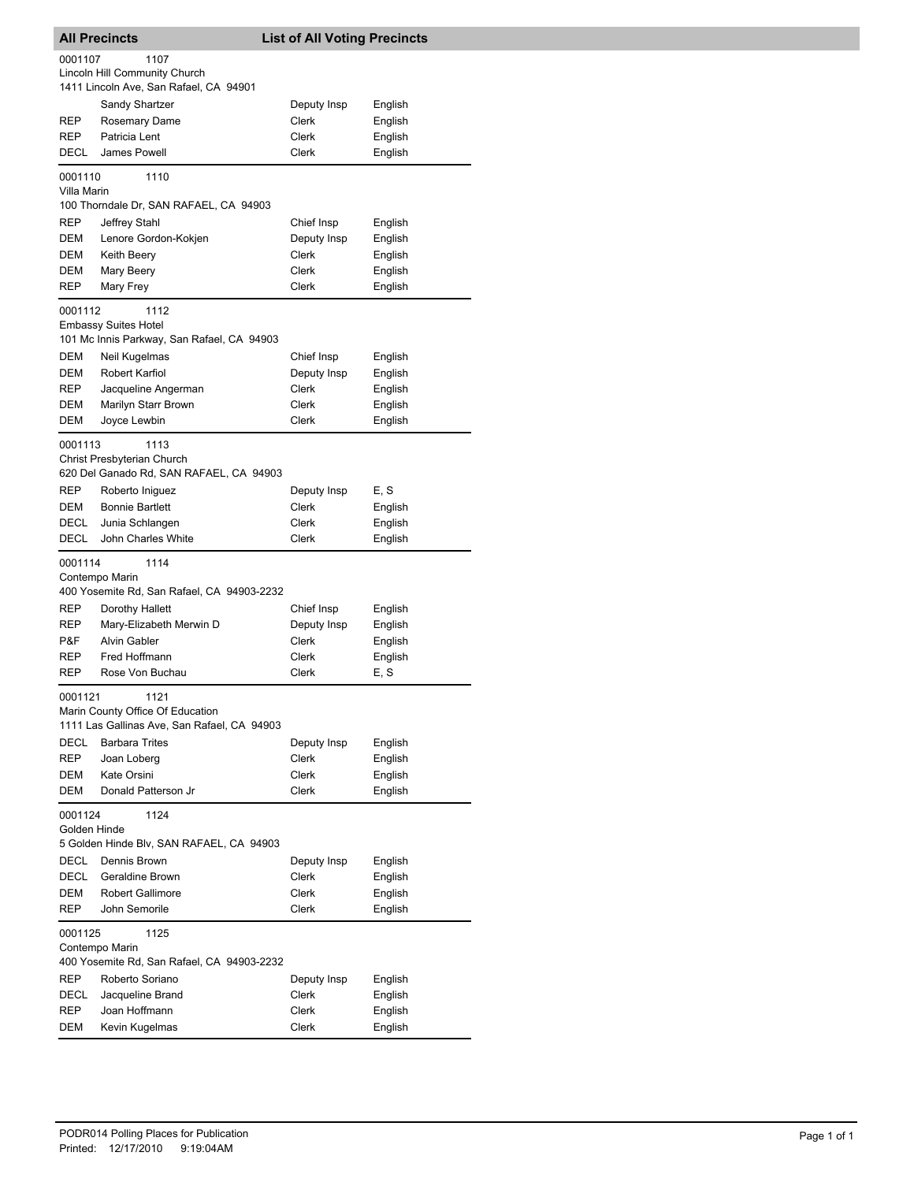|                        | <b>All Precincts</b>                                                                    | <b>List of All Voting Precincts</b> |                    |
|------------------------|-----------------------------------------------------------------------------------------|-------------------------------------|--------------------|
| 0001107                | 1107                                                                                    |                                     |                    |
|                        | Lincoln Hill Community Church                                                           |                                     |                    |
|                        | 1411 Lincoln Ave, San Rafael, CA 94901                                                  |                                     |                    |
|                        | Sandy Shartzer                                                                          | Deputy Insp                         | English            |
| REP                    | Rosemary Dame                                                                           | Clerk                               | English            |
| REP                    | Patricia Lent                                                                           | <b>Clerk</b>                        | English            |
| DECL                   | James Powell                                                                            | Clerk                               | English            |
| 0001110<br>Villa Marin | 1110                                                                                    |                                     |                    |
|                        | 100 Thorndale Dr, SAN RAFAEL, CA 94903                                                  |                                     |                    |
| REP                    | Jeffrey Stahl                                                                           | Chief Insp                          | English            |
| DEM                    | Lenore Gordon-Kokjen                                                                    | Deputy Insp                         | English            |
| DEM                    | Keith Beery                                                                             | Clerk                               | English            |
| DEM                    | Mary Beery                                                                              | Clerk                               | English            |
| REP                    | Mary Frey                                                                               | Clerk                               | English            |
| 0001112                | 1112                                                                                    |                                     |                    |
|                        | <b>Embassy Suites Hotel</b>                                                             |                                     |                    |
|                        | 101 Mc Innis Parkway, San Rafael, CA 94903                                              |                                     |                    |
| DEM                    | Neil Kugelmas                                                                           | Chief Insp                          | English            |
| DEM                    | Robert Karfiol                                                                          | Deputy Insp                         | English            |
| REP                    | Jacqueline Angerman                                                                     | Clerk                               | English            |
| DEM                    | Marilyn Starr Brown                                                                     | Clerk                               | English            |
| DEM                    | Joyce Lewbin                                                                            | Clerk                               | English            |
| 0001113                | 1113<br>Christ Presbyterian Church<br>620 Del Ganado Rd, SAN RAFAEL, CA 94903           |                                     |                    |
| REP                    | Roberto Iniguez                                                                         | Deputy Insp                         | E, S               |
| <b>DEM</b>             | <b>Bonnie Bartlett</b>                                                                  | Clerk                               | English            |
| DECL                   | Junia Schlangen                                                                         | Clerk                               | English            |
| DECL                   | John Charles White                                                                      | Clerk                               | English            |
| 0001114                | 1114                                                                                    |                                     |                    |
|                        | Contempo Marin<br>400 Yosemite Rd, San Rafael, CA 94903-2232                            |                                     |                    |
| REP                    | Dorothy Hallett                                                                         | Chief Insp                          | English            |
| REP                    | Mary-Elizabeth Merwin D                                                                 | Deputy Insp                         | English            |
| P&F                    | <b>Alvin Gabler</b>                                                                     | Clerk                               | English            |
| REP                    | Fred Hoffmann                                                                           | Clerk                               | English            |
| REP                    | Rose Von Buchau                                                                         | Clerk                               | E, S               |
| 0001121                | 1121<br>Marin County Office Of Education<br>1111 Las Gallinas Ave, San Rafael, CA 94903 |                                     |                    |
| <b>DECL</b>            |                                                                                         |                                     |                    |
|                        | <b>Barbara Trites</b>                                                                   | Deputy Insp<br><b>Clerk</b>         | English            |
| REP                    | Joan Loberg                                                                             |                                     | English            |
| DEM<br>DEM             | Kate Orsini<br>Donald Patterson Jr                                                      | Clerk<br><b>Clerk</b>               | English<br>English |
| 0001124                | 1124                                                                                    |                                     |                    |
| Golden Hinde           | 5 Golden Hinde Blv, SAN RAFAEL, CA 94903                                                |                                     |                    |
| DECL                   | Dennis Brown                                                                            | Deputy Insp                         | English            |
| DECL                   | Geraldine Brown                                                                         | <b>Clerk</b>                        | English            |
| DEM                    | <b>Robert Gallimore</b>                                                                 | Clerk                               | English            |
| REP                    | John Semorile                                                                           | Clerk                               | English            |
| 0001125                | 1125<br>Contempo Marin                                                                  |                                     |                    |
|                        | 400 Yosemite Rd, San Rafael, CA 94903-2232                                              |                                     |                    |
| REP                    | Roberto Soriano                                                                         | Deputy Insp                         | English            |
| DECL                   | Jacqueline Brand                                                                        | Clerk                               | English            |
| REP                    | Joan Hoffmann                                                                           | Clerk                               | English            |
| DEM                    | Kevin Kugelmas                                                                          | Clerk                               | English            |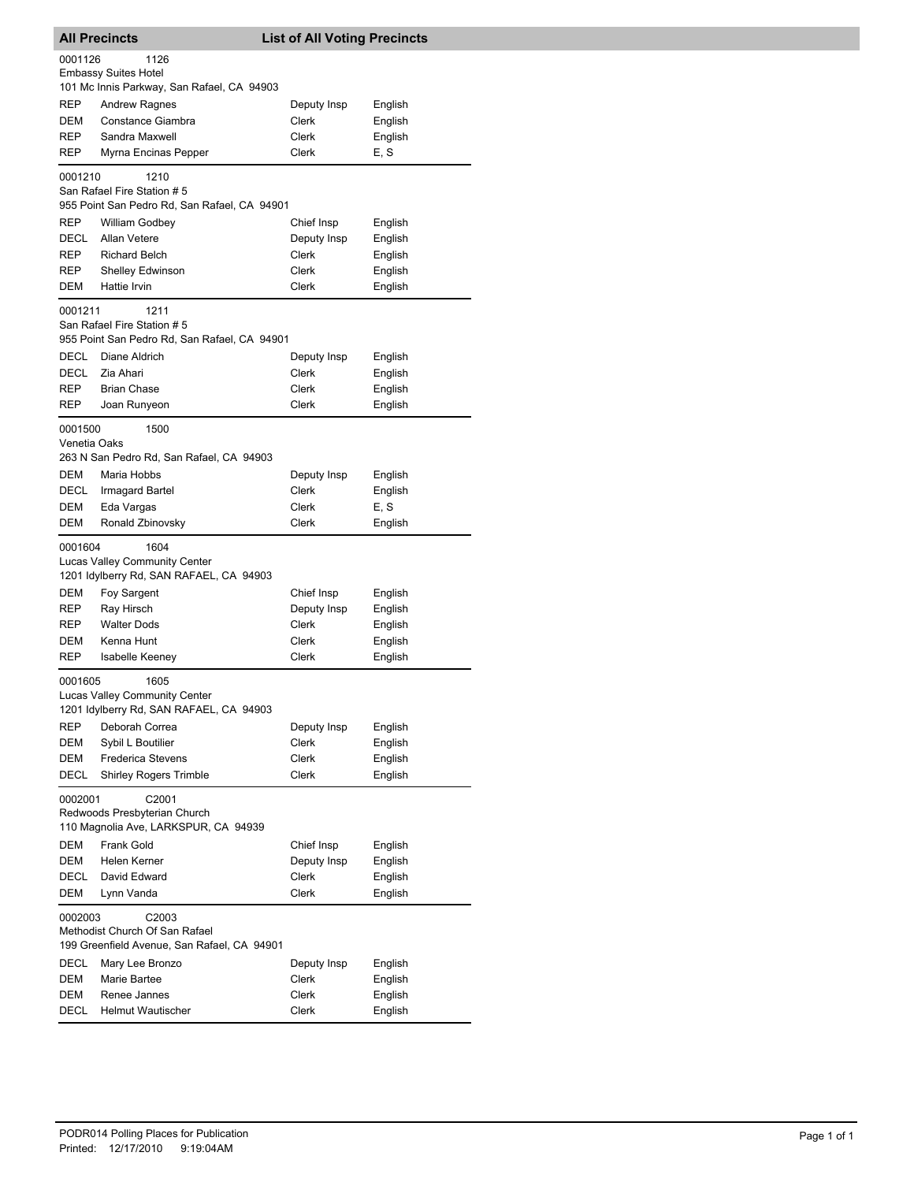|                         | <b>All Precincts</b>                         | <b>List of All Voting Precincts</b> |                 |  |
|-------------------------|----------------------------------------------|-------------------------------------|-----------------|--|
| 0001126                 | 1126                                         |                                     |                 |  |
|                         | <b>Embassy Suites Hotel</b>                  |                                     |                 |  |
|                         | 101 Mc Innis Parkway, San Rafael, CA 94903   |                                     |                 |  |
| REP                     | <b>Andrew Ragnes</b>                         | Deputy Insp                         | English         |  |
| DEM                     | Constance Giambra                            | Clerk                               | English         |  |
| <b>REP</b>              | Sandra Maxwell                               | Clerk                               | English         |  |
| REP                     | Myrna Encinas Pepper                         | Clerk                               | E, S            |  |
| 0001210                 | 1210                                         |                                     |                 |  |
|                         | San Rafael Fire Station #5                   |                                     |                 |  |
|                         | 955 Point San Pedro Rd, San Rafael, CA 94901 |                                     |                 |  |
| REP                     | William Godbey                               | Chief Insp                          | English         |  |
| DECL                    | <b>Allan Vetere</b>                          | Deputy Insp                         | English         |  |
| REP                     | <b>Richard Belch</b>                         | Clerk                               | English         |  |
| REP                     | Shelley Edwinson                             | Clerk                               | English         |  |
| DEM                     | Hattie Irvin                                 | Clerk                               | English         |  |
| 0001211                 | 1211                                         |                                     |                 |  |
|                         | San Rafael Fire Station #5                   |                                     |                 |  |
|                         | 955 Point San Pedro Rd, San Rafael, CA 94901 |                                     |                 |  |
| DECL                    | Diane Aldrich                                | Deputy Insp                         | English         |  |
| DECL                    | Zia Ahari                                    | Clerk                               | English         |  |
| REP                     | <b>Brian Chase</b>                           | Clerk                               | English         |  |
| REP                     | Joan Runyeon                                 | Clerk                               | English         |  |
|                         |                                              |                                     |                 |  |
| 0001500<br>Venetia Oaks | 1500                                         |                                     |                 |  |
|                         | 263 N San Pedro Rd, San Rafael, CA 94903     |                                     |                 |  |
| DEM                     | Maria Hobbs                                  |                                     |                 |  |
| DECL                    |                                              | Deputy Insp<br>Clerk                | English         |  |
|                         | Irmagard Bartel                              |                                     | English<br>E, S |  |
| DEM<br>DEM              | Eda Vargas                                   | Clerk                               |                 |  |
|                         | Ronald Zbinovsky                             | Clerk                               | English         |  |
| 0001604                 | 1604                                         |                                     |                 |  |
|                         | <b>Lucas Valley Community Center</b>         |                                     |                 |  |
|                         | 1201 Idylberry Rd, SAN RAFAEL, CA 94903      |                                     |                 |  |
| DEM                     | Foy Sargent                                  | Chief Insp                          | English         |  |
| REP                     | Ray Hirsch                                   | Deputy Insp                         | English         |  |
| REP                     | <b>Walter Dods</b>                           | Clerk                               | English         |  |
| DEM                     | Kenna Hunt                                   | Clerk                               | English         |  |
| REP                     | Isabelle Keeney                              | Clerk                               | English         |  |
| 0001605                 | 1605                                         |                                     |                 |  |
|                         | Lucas Valley Community Center                |                                     |                 |  |
|                         | 1201 Idylberry Rd, SAN RAFAEL, CA 94903      |                                     |                 |  |
| REP                     | Deborah Correa                               | Deputy Insp                         | English         |  |
| DEM                     | Sybil L Boutilier                            | Clerk                               | English         |  |
| DEM                     | <b>Frederica Stevens</b>                     | Clerk                               | English         |  |
| DECL                    | <b>Shirley Rogers Trimble</b>                | Clerk                               | English         |  |
| 0002001                 | C2001                                        |                                     |                 |  |
|                         | Redwoods Presbyterian Church                 |                                     |                 |  |
|                         | 110 Magnolia Ave, LARKSPUR, CA 94939         |                                     |                 |  |
| DEM                     | Frank Gold                                   | Chief Insp                          | English         |  |
| DEM                     | Helen Kerner                                 | Deputy Insp                         | English         |  |
| DECL                    | David Edward                                 | Clerk                               | English         |  |
| DEM                     | Lynn Vanda                                   | Clerk                               | English         |  |
|                         |                                              |                                     |                 |  |
| 0002003                 | C2003<br>Methodist Church Of San Rafael      |                                     |                 |  |
|                         | 199 Greenfield Avenue, San Rafael, CA 94901  |                                     |                 |  |
| <b>DECL</b>             | Mary Lee Bronzo                              | Deputy Insp                         | English         |  |
| DEM                     | Marie Bartee                                 | Clerk                               | English         |  |
| DEM                     | Renee Jannes                                 | Clerk                               | English         |  |
| <b>DECL</b>             | <b>Helmut Wautischer</b>                     | Clerk                               | English         |  |
|                         |                                              |                                     |                 |  |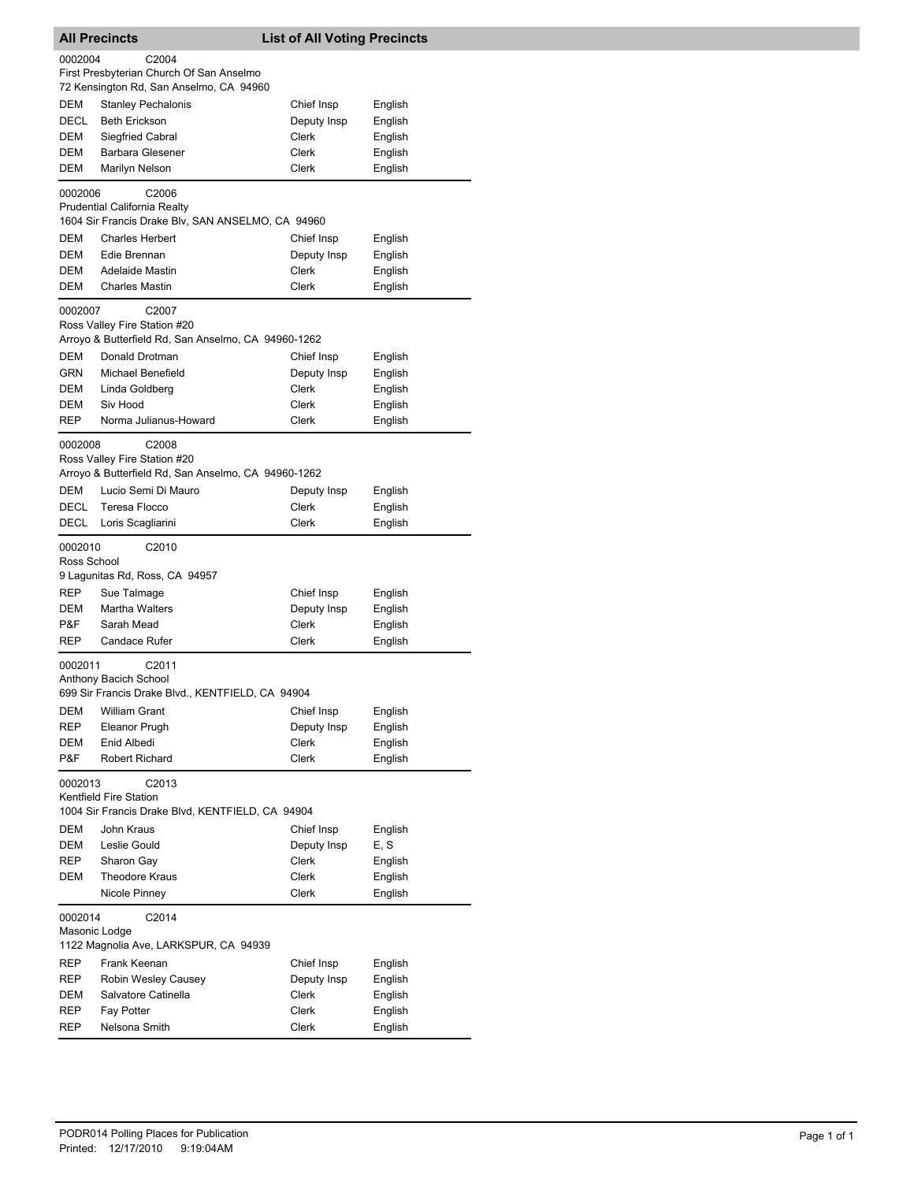|                          | <b>All Precincts</b>                                                                                     | <b>List of All Voting Precincts</b> |                    |
|--------------------------|----------------------------------------------------------------------------------------------------------|-------------------------------------|--------------------|
| 0002004                  | C <sub>2004</sub>                                                                                        |                                     |                    |
|                          | First Presbyterian Church Of San Anselmo                                                                 |                                     |                    |
|                          | 72 Kensington Rd, San Anselmo, CA 94960                                                                  |                                     |                    |
| DEM                      | <b>Stanley Pechalonis</b>                                                                                | Chief Insp                          | English            |
| <b>DECL</b>              | <b>Beth Erickson</b>                                                                                     | Deputy Insp                         | English            |
| DEM                      | <b>Siegfried Cabral</b>                                                                                  | Clerk                               | English            |
| DEM                      | <b>Barbara Glesener</b>                                                                                  | Clerk                               | English            |
| DEM                      | Marilyn Nelson                                                                                           | Clerk                               | English            |
| 0002006                  | C <sub>2006</sub>                                                                                        |                                     |                    |
|                          | <b>Prudential California Realty</b><br>1604 Sir Francis Drake Blv, SAN ANSELMO, CA 94960                 |                                     |                    |
| DEM                      | <b>Charles Herbert</b>                                                                                   | Chief Insp                          | English            |
| DEM                      | Edie Brennan                                                                                             | Deputy Insp                         | English            |
| DEM                      | <b>Adelaide Mastin</b>                                                                                   | Clerk                               | English            |
| DEM                      | <b>Charles Mastin</b>                                                                                    | Clerk                               | English            |
| 0002007                  | C <sub>2007</sub>                                                                                        |                                     |                    |
|                          | Ross Valley Fire Station #20                                                                             |                                     |                    |
|                          | Arroyo & Butterfield Rd, San Anselmo, CA 94960-1262                                                      |                                     |                    |
| DEM                      | Donald Drotman                                                                                           | Chief Insp                          | English            |
| GRN                      | Michael Benefield                                                                                        | Deputy Insp                         | English            |
| DEM                      | Linda Goldberg                                                                                           | Clerk                               | English            |
| DEM                      | Siv Hood                                                                                                 | <b>Clerk</b>                        | English            |
| REP                      | Norma Julianus-Howard                                                                                    | Clerk                               | English            |
|                          |                                                                                                          |                                     |                    |
| 0002008                  | C <sub>2008</sub><br>Ross Valley Fire Station #20<br>Arroyo & Butterfield Rd, San Anselmo, CA 94960-1262 |                                     |                    |
| DEM                      | Lucio Semi Di Mauro                                                                                      | Deputy Insp                         | English            |
| DECL                     | Teresa Flocco                                                                                            | Clerk                               | English            |
| DECL                     | Loris Scagliarini                                                                                        | Clerk                               | English            |
| 0002010<br>Ross School   | C <sub>2010</sub>                                                                                        |                                     |                    |
|                          | 9 Lagunitas Rd, Ross, CA 94957                                                                           |                                     |                    |
| REP                      | Sue Talmage                                                                                              | Chief Insp                          | English            |
| DEM                      | <b>Martha Walters</b>                                                                                    | Deputy Insp                         | English            |
| P&F                      | Sarah Mead                                                                                               | <b>Clerk</b>                        | English            |
| REP                      | Candace Rufer                                                                                            | Clerk                               | English            |
| 0002011                  | C <sub>2011</sub><br>Anthony Bacich School<br>699 Sir Francis Drake Blvd., KENTFIELD, CA 94904           |                                     |                    |
| DEM                      | <b>William Grant</b>                                                                                     | Chief Insp                          | English            |
| REP                      | Eleanor Prugh                                                                                            | Deputy Insp                         | English            |
| DEM                      | Enid Albedi                                                                                              | Clerk                               | English            |
| P&F                      | Robert Richard                                                                                           | Clerk                               | English            |
| 0002013                  | C2013<br>Kentfield Fire Station                                                                          |                                     |                    |
|                          | 1004 Sir Francis Drake Blvd, KENTFIELD, CA 94904                                                         |                                     |                    |
| DEM                      | John Kraus                                                                                               | Chief Insp                          | English            |
| DEM                      | Leslie Gould                                                                                             | Deputy Insp                         | E, S               |
| REP                      | Sharon Gay                                                                                               | Clerk                               | English            |
| DEM                      | <b>Theodore Kraus</b>                                                                                    | Clerk                               | English            |
|                          | Nicole Pinney                                                                                            | Clerk                               | English            |
|                          |                                                                                                          |                                     |                    |
| 0002014<br>Masonic Lodge | C2014                                                                                                    |                                     |                    |
|                          | 1122 Magnolia Ave, LARKSPUR, CA 94939                                                                    |                                     |                    |
| REP                      | Frank Keenan                                                                                             | Chief Insp                          | English            |
| REP                      | Robin Wesley Causey                                                                                      | Deputy Insp                         | English            |
| DEM                      | Salvatore Catinella                                                                                      | Clerk                               | English            |
| REP                      | Fay Potter                                                                                               | Clerk<br>Clerk                      | English<br>English |
| REP                      | Nelsona Smith                                                                                            |                                     |                    |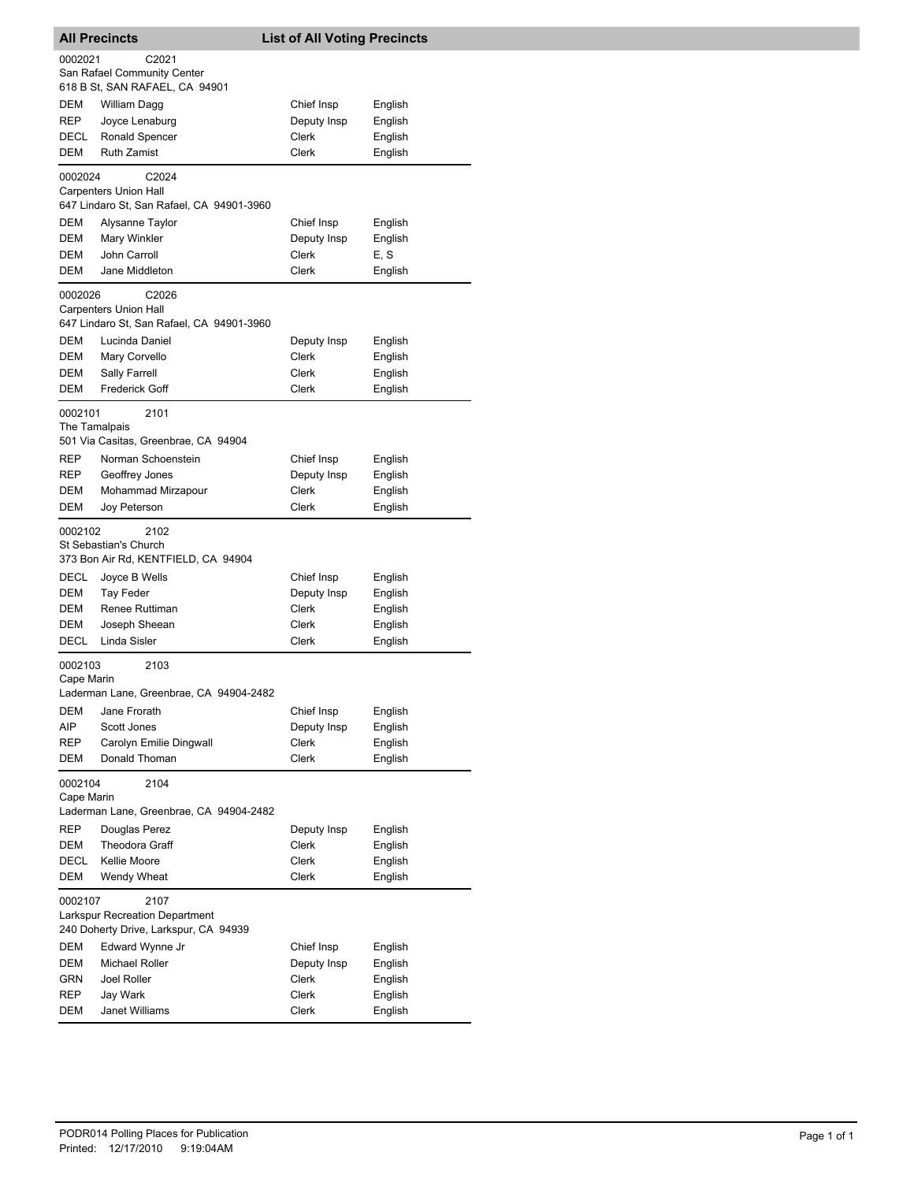| <b>All Precincts</b>     |                                                                                        | <b>List of All Voting Precincts</b> |         |
|--------------------------|----------------------------------------------------------------------------------------|-------------------------------------|---------|
| 0002021                  | C2021<br>San Rafael Community Center<br>618 B St, SAN RAFAEL, CA 94901                 |                                     |         |
| DEM                      | William Dagg                                                                           | Chief Insp                          | English |
| REP                      | Joyce Lenaburg                                                                         | Deputy Insp                         | English |
| DECL                     | Ronald Spencer                                                                         | Clerk                               | English |
| DEM                      | <b>Ruth Zamist</b>                                                                     | Clerk                               | English |
| 0002024                  | C <sub>2024</sub><br><b>Carpenters Union Hall</b>                                      |                                     |         |
|                          | 647 Lindaro St, San Rafael, CA 94901-3960                                              |                                     |         |
| DEM                      | Alysanne Taylor                                                                        | Chief Insp                          | English |
| DEM                      | Mary Winkler                                                                           | Deputy Insp                         | English |
| DEM                      | John Carroll                                                                           | Clerk                               | E, S    |
| DEM                      | Jane Middleton                                                                         | <b>Clerk</b>                        | English |
| 0002026                  | C2026<br><b>Carpenters Union Hall</b>                                                  |                                     |         |
|                          | 647 Lindaro St, San Rafael, CA 94901-3960                                              |                                     |         |
| DEM                      | Lucinda Daniel                                                                         | Deputy Insp                         | English |
| DEM                      | Mary Corvello                                                                          | Clerk                               | English |
| DEM                      | Sally Farrell                                                                          | Clerk                               | English |
| DEM                      | <b>Frederick Goff</b>                                                                  | Clerk                               | English |
| 0002101<br>The Tamalpais | 2101<br>501 Via Casitas, Greenbrae, CA 94904                                           |                                     |         |
| REP                      | Norman Schoenstein                                                                     | Chief Insp                          | English |
| REP                      | Geoffrey Jones                                                                         | Deputy Insp                         | English |
| DEM                      | Mohammad Mirzapour                                                                     | Clerk                               | English |
| DEM                      | Joy Peterson                                                                           | Clerk                               | English |
| 0002102                  | 2102<br>St Sebastian's Church<br>373 Bon Air Rd, KENTFIELD, CA 94904                   |                                     |         |
| DECL                     | Joyce B Wells                                                                          | Chief Insp                          | English |
| DEM                      | Tay Feder                                                                              | Deputy Insp                         | English |
| DEM                      | Renee Ruttiman                                                                         | Clerk                               | English |
| DEM                      | Joseph Sheean                                                                          | Clerk                               | English |
| <b>DECL</b>              | Linda Sisler                                                                           | Clerk                               | English |
| 0002103<br>Cape Marin    | 2103<br>Laderman Lane, Greenbrae, CA 94904-2482                                        |                                     |         |
| DEM                      | Jane Frorath                                                                           | Chief Insp                          | English |
| AIP                      | Scott Jones                                                                            | Deputy Insp                         | English |
| REP                      | Carolyn Emilie Dingwall                                                                | Clerk                               | English |
| DEM                      | Donald Thoman                                                                          | <b>Clerk</b>                        | English |
| 0002104<br>Cape Marin    | 2104<br>Laderman Lane, Greenbrae, CA 94904-2482                                        |                                     |         |
| REP                      | Douglas Perez                                                                          | Deputy Insp                         | English |
| DEM                      | <b>Theodora Graff</b>                                                                  | Clerk                               | English |
| DECL                     | Kellie Moore                                                                           | <b>Clerk</b>                        | English |
| DEM                      | Wendy Wheat                                                                            | Clerk                               | English |
| 0002107                  | 2107<br><b>Larkspur Recreation Department</b><br>240 Doherty Drive, Larkspur, CA 94939 |                                     |         |
| DEM                      | Edward Wynne Jr                                                                        | Chief Insp                          | English |
| DEM                      | <b>Michael Roller</b>                                                                  | Deputy Insp                         | English |
| GRN                      | Joel Roller                                                                            | Clerk                               | English |
| REP                      | Jay Wark                                                                               | Clerk                               | English |
| DEM                      | Janet Williams                                                                         | Clerk                               | English |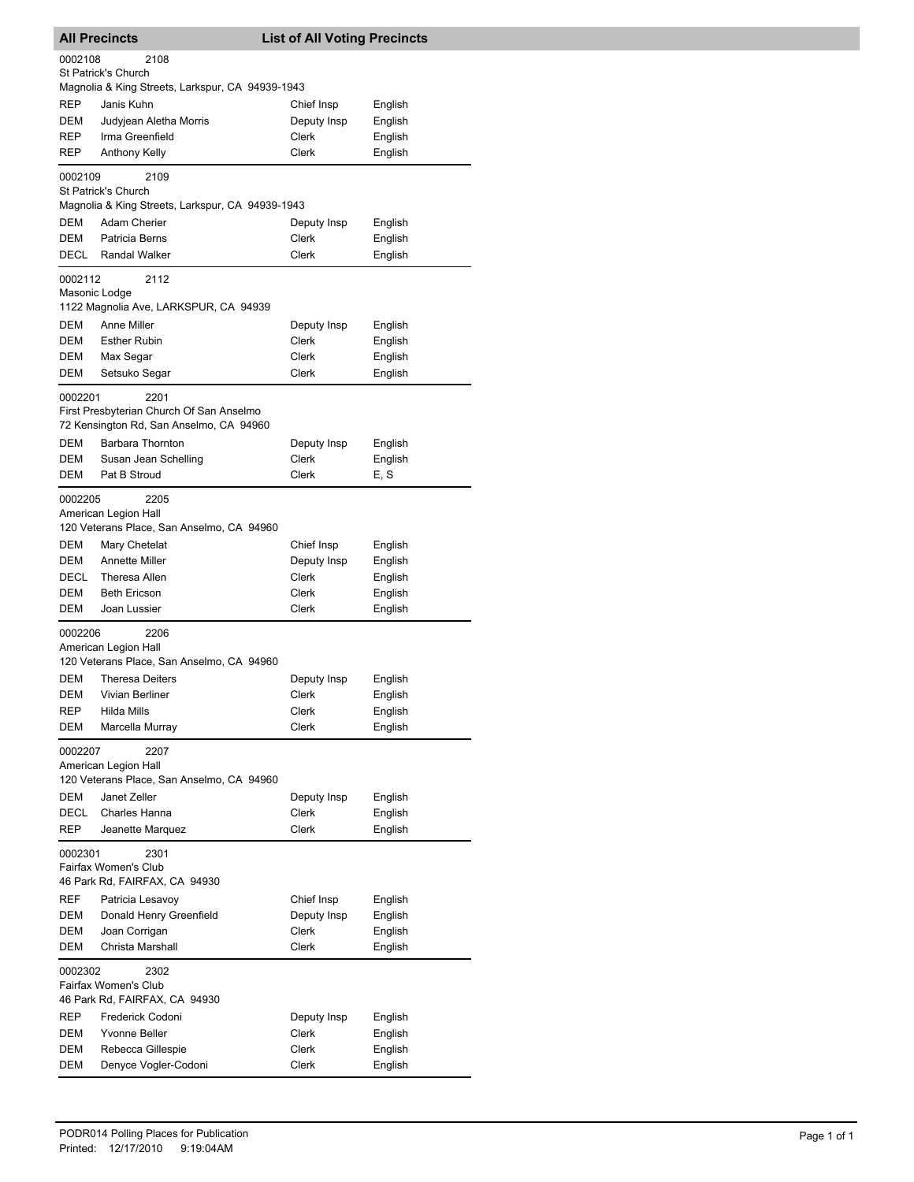| <b>All Precincts</b>                                                     |                                                                                             | <b>List of All Voting Precincts</b> |                    |  |
|--------------------------------------------------------------------------|---------------------------------------------------------------------------------------------|-------------------------------------|--------------------|--|
| 0002108                                                                  | 2108                                                                                        |                                     |                    |  |
|                                                                          | St Patrick's Church<br>Magnolia & King Streets, Larkspur, CA 94939-1943                     |                                     |                    |  |
| REP                                                                      | Janis Kuhn                                                                                  | Chief Insp                          | English            |  |
| DEM                                                                      | Judyjean Aletha Morris                                                                      | Deputy Insp                         | English            |  |
| REP                                                                      | Irma Greenfield                                                                             | Clerk                               | English            |  |
| <b>REP</b>                                                               | <b>Anthony Kelly</b>                                                                        | Clerk                               | English            |  |
| 0002109                                                                  | 2109<br>St Patrick's Church<br>Magnolia & King Streets, Larkspur, CA 94939-1943             |                                     |                    |  |
| DEM                                                                      | Adam Cherier                                                                                | Deputy Insp                         | English            |  |
| DEM                                                                      | Patricia Berns                                                                              | Clerk                               | English            |  |
| DECL                                                                     | <b>Randal Walker</b>                                                                        | Clerk                               | English            |  |
| 0002112<br>Masonic Lodge                                                 | 2112<br>1122 Magnolia Ave, LARKSPUR, CA 94939                                               |                                     |                    |  |
| DEM                                                                      | <b>Anne Miller</b>                                                                          | Deputy Insp                         | English            |  |
| DEM                                                                      | <b>Esther Rubin</b>                                                                         | Clerk                               | English            |  |
| DEM                                                                      | Max Segar                                                                                   | Clerk                               | English            |  |
| DEM                                                                      | Setsuko Segar                                                                               | Clerk                               | English            |  |
| 0002201                                                                  | 2201<br>First Presbyterian Church Of San Anselmo<br>72 Kensington Rd, San Anselmo, CA 94960 |                                     |                    |  |
| <b>DEM</b><br>DEM                                                        | Barbara Thornton                                                                            | Deputy Insp<br>Clerk                | English            |  |
| DEM                                                                      | Susan Jean Schelling<br>Pat B Stroud                                                        | Clerk                               | English<br>E, S    |  |
| 0002205                                                                  | 2205<br>American Legion Hall<br>120 Veterans Place, San Anselmo, CA 94960                   |                                     |                    |  |
| DEM                                                                      | Mary Chetelat                                                                               | Chief Insp                          | English            |  |
| DEM                                                                      | <b>Annette Miller</b>                                                                       | Deputy Insp                         | English            |  |
| DECL                                                                     | Theresa Allen                                                                               | Clerk                               | English            |  |
| DEM                                                                      | <b>Beth Ericson</b>                                                                         | Clerk                               | English            |  |
| DEM                                                                      | Joan Lussier                                                                                | Clerk                               | English            |  |
| 0002206                                                                  | 2206<br>American Legion Hall<br>120 Veterans Place, San Anselmo, CA 94960                   |                                     |                    |  |
| <b>DEM</b>                                                               | <b>Theresa Deiters</b>                                                                      | Deputy Insp                         | English            |  |
| <b>DEM</b>                                                               | Vivian Berliner                                                                             | Clerk                               | English            |  |
| REP                                                                      | Hilda Mills                                                                                 | Clerk                               | English            |  |
| DEM                                                                      | Marcella Murray                                                                             | Clerk                               | English            |  |
| 0002207                                                                  | 2207<br>American Legion Hall<br>120 Veterans Place, San Anselmo, CA 94960                   |                                     |                    |  |
| DEM                                                                      | Janet Zeller                                                                                | Deputy Insp                         | English            |  |
| DECL<br>REP                                                              | Charles Hanna<br>Jeanette Marquez                                                           | Clerk<br>Clerk                      | English<br>English |  |
| 2301<br>0002301<br>Fairfax Women's Club<br>46 Park Rd, FAIRFAX, CA 94930 |                                                                                             |                                     |                    |  |
| REF                                                                      | Patricia Lesavoy                                                                            | Chief Insp                          | English            |  |
| DEM                                                                      | Donald Henry Greenfield                                                                     | Deputy Insp                         | English            |  |
| DEM                                                                      | Joan Corrigan                                                                               | Clerk                               | English            |  |
| DEM                                                                      | Christa Marshall                                                                            | Clerk                               | English            |  |
| 0002302                                                                  | 2302<br>Fairfax Women's Club<br>46 Park Rd, FAIRFAX, CA 94930                               |                                     |                    |  |
| REP                                                                      | Frederick Codoni                                                                            | Deputy Insp                         | English            |  |
| DEM                                                                      | Yvonne Beller                                                                               | Clerk                               | English            |  |
| DEM                                                                      | Rebecca Gillespie                                                                           | Clerk                               | English            |  |
| DEM                                                                      | Denyce Vogler-Codoni                                                                        | Clerk                               | English            |  |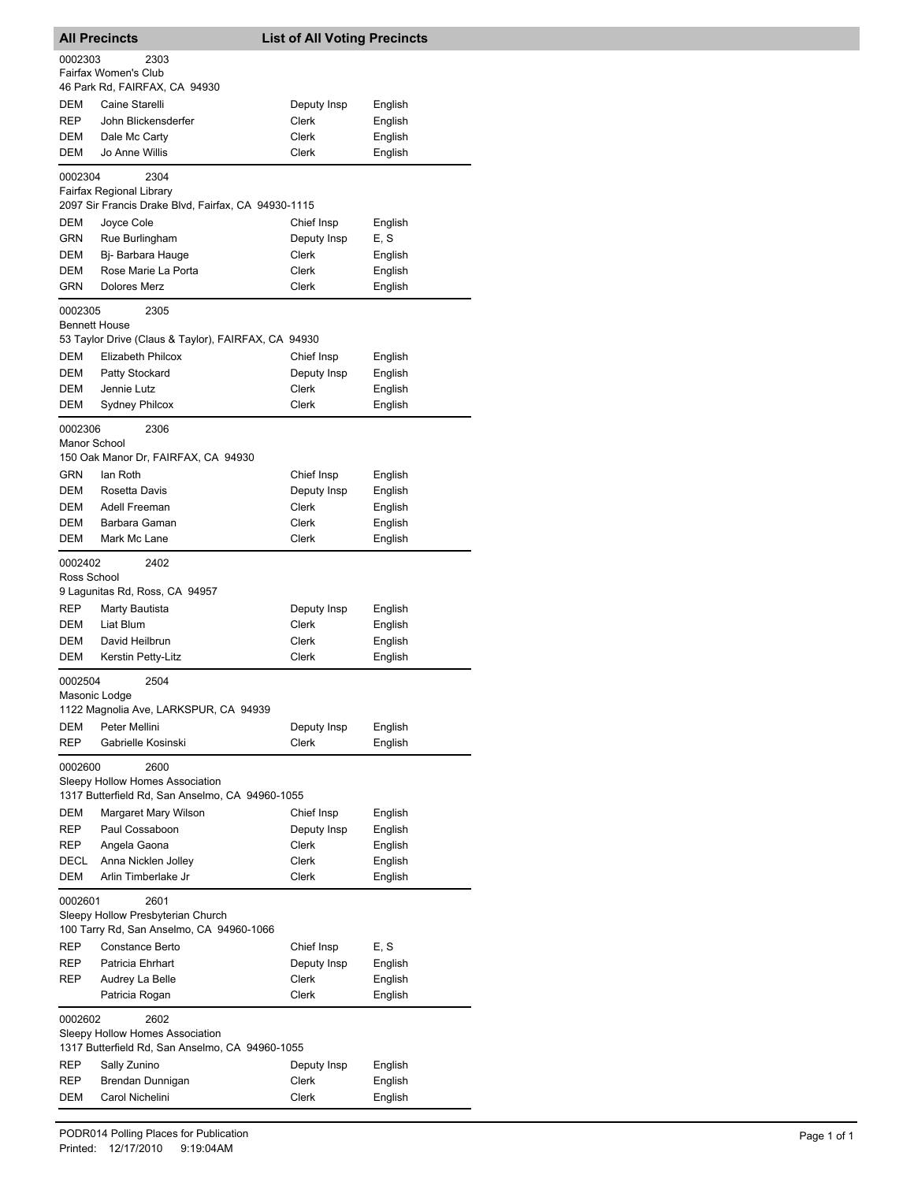| <b>All Precincts</b>     |                                                                                                  | <b>List of All Voting Precincts</b> |                    |  |
|--------------------------|--------------------------------------------------------------------------------------------------|-------------------------------------|--------------------|--|
| 0002303                  | 2303<br>Fairfax Women's Club                                                                     |                                     |                    |  |
|                          | 46 Park Rd, FAIRFAX, CA 94930                                                                    |                                     |                    |  |
| DEM<br><b>REP</b>        | Caine Starelli<br>John Blickensderfer                                                            | Deputy Insp<br>Clerk                | English<br>English |  |
| DEM                      | Dale Mc Carty                                                                                    | Clerk                               | English            |  |
| DEM                      | Jo Anne Willis                                                                                   | Clerk                               | English            |  |
| 0002304                  | 2304<br>Fairfax Regional Library                                                                 |                                     |                    |  |
|                          | 2097 Sir Francis Drake Blvd, Fairfax, CA 94930-1115                                              |                                     |                    |  |
| DEM<br>GRN               | Joyce Cole<br>Rue Burlingham                                                                     | Chief Insp<br>Deputy Insp           | English<br>E, S    |  |
| DEM                      | Bi- Barbara Hauge                                                                                | Clerk                               | English            |  |
| DEM                      | Rose Marie La Porta                                                                              | Clerk                               | English            |  |
| GRN                      | Dolores Merz                                                                                     | Clerk                               | English            |  |
| 0002305                  | 2305                                                                                             |                                     |                    |  |
| <b>Bennett House</b>     | 53 Taylor Drive (Claus & Taylor), FAIRFAX, CA 94930                                              |                                     |                    |  |
| DEM                      | Elizabeth Philcox                                                                                | Chief Insp                          | English            |  |
| DEM<br><b>DEM</b>        | Patty Stockard                                                                                   | Deputy Insp<br>Clerk                | English            |  |
| DEM                      | Jennie Lutz<br><b>Sydney Philcox</b>                                                             | Clerk                               | English<br>English |  |
|                          |                                                                                                  |                                     |                    |  |
| 0002306<br>Manor School  | 2306<br>150 Oak Manor Dr, FAIRFAX, CA 94930                                                      |                                     |                    |  |
| GRN                      | lan Roth                                                                                         | Chief Insp                          | English            |  |
| DEM                      | Rosetta Davis                                                                                    | Deputy Insp                         | English            |  |
| DEM                      | Adell Freeman                                                                                    | Clerk                               | English            |  |
| DEM                      | Barbara Gaman                                                                                    | Clerk                               | English            |  |
| DEM                      | Mark Mc Lane                                                                                     | Clerk                               | English            |  |
| 0002402<br>Ross School   | 2402<br>9 Lagunitas Rd, Ross, CA 94957                                                           |                                     |                    |  |
| <b>REP</b>               | Marty Bautista                                                                                   | Deputy Insp                         | English            |  |
| DEM                      | Liat Blum                                                                                        | Clerk                               | English            |  |
| DEM                      | David Heilbrun                                                                                   | Clerk                               | English            |  |
| DEM                      | Kerstin Petty-Litz                                                                               | Clerk                               | English            |  |
| 0002504<br>Masonic Lodge | 2504                                                                                             |                                     |                    |  |
|                          | 1122 Magnolia Ave, LARKSPUR, CA 94939                                                            |                                     |                    |  |
| <b>DEM</b>               | Peter Mellini                                                                                    | Deputy Insp                         | English            |  |
| <b>REP</b>               | Gabrielle Kosinski                                                                               | <b>Clerk</b>                        | English            |  |
| 0002600                  | 2600<br>Sleepy Hollow Homes Association                                                          |                                     |                    |  |
|                          | 1317 Butterfield Rd, San Anselmo, CA 94960-1055                                                  |                                     |                    |  |
| DEM<br>REP               | Margaret Mary Wilson<br>Paul Cossaboon                                                           | Chief Insp<br>Deputy Insp           | English<br>English |  |
| REP                      | Angela Gaona                                                                                     | <b>Clerk</b>                        | English            |  |
| DECL                     | Anna Nicklen Jolley                                                                              | Clerk                               | English            |  |
| DEM                      | Arlin Timberlake Jr                                                                              | Clerk                               | English            |  |
|                          | 0002601<br>2601<br>Sleepy Hollow Presbyterian Church<br>100 Tarry Rd, San Anselmo, CA 94960-1066 |                                     |                    |  |
| REP                      | Constance Berto                                                                                  | Chief Insp                          | E, S               |  |
| REP                      | Patricia Ehrhart                                                                                 | Deputy Insp                         | English            |  |
| REP                      | Audrey La Belle                                                                                  | Clerk                               | English            |  |
|                          | Patricia Rogan                                                                                   | Clerk                               | English            |  |
| 0002602                  | 2602<br>Sleepy Hollow Homes Association<br>1317 Butterfield Rd, San Anselmo, CA 94960-1055       |                                     |                    |  |
| REP                      | Sally Zunino                                                                                     | Deputy Insp                         | English            |  |
| REP                      | Brendan Dunnigan                                                                                 | Clerk                               | English            |  |
| DEM                      | Carol Nichelini                                                                                  | Clerk                               | English            |  |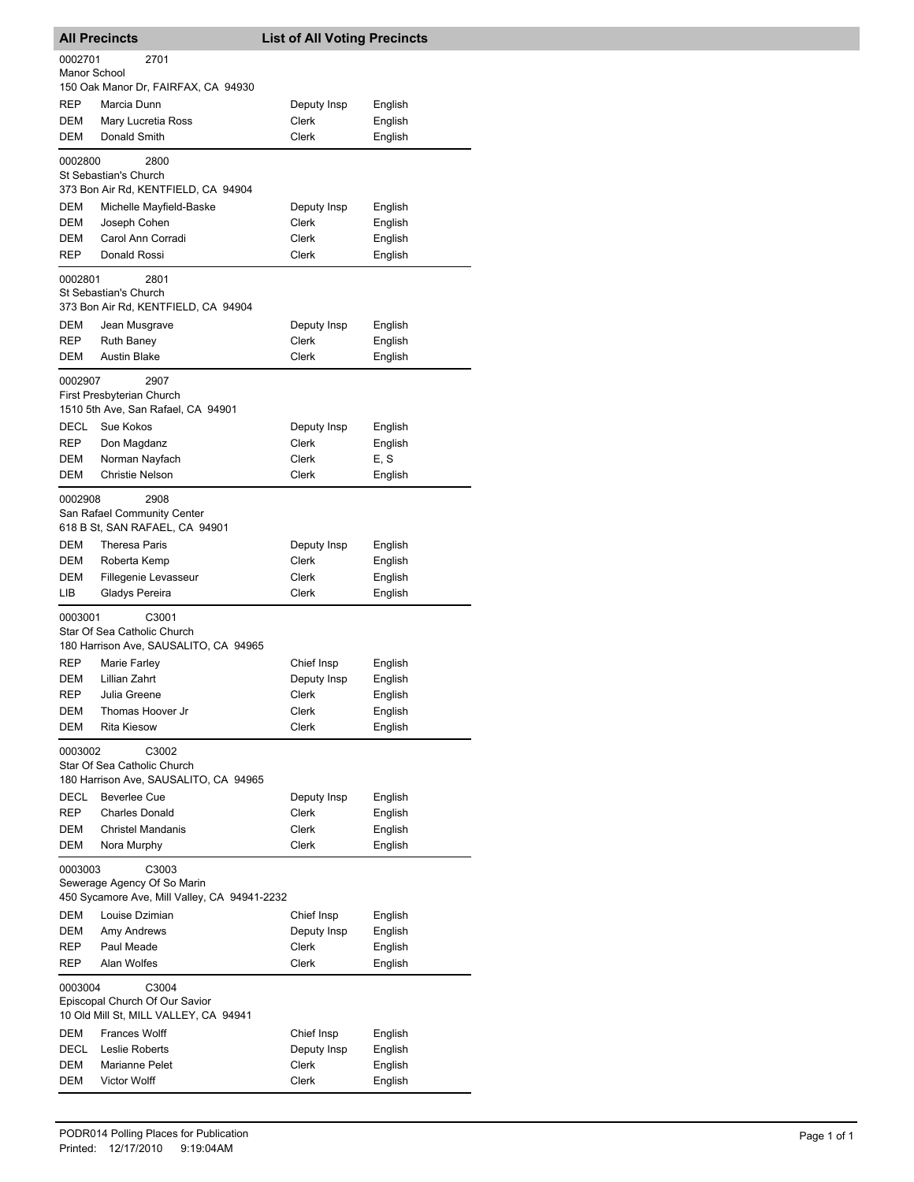| <b>All Precincts</b> |                                                                                                 | <b>List of All Voting Precincts</b> |                    |  |  |
|----------------------|-------------------------------------------------------------------------------------------------|-------------------------------------|--------------------|--|--|
| 0002701              | 2701                                                                                            |                                     |                    |  |  |
| Manor School         |                                                                                                 |                                     |                    |  |  |
|                      | 150 Oak Manor Dr, FAIRFAX, CA 94930                                                             |                                     |                    |  |  |
| REP<br>DEM           | Marcia Dunn<br>Mary Lucretia Ross                                                               | Deputy Insp<br>Clerk                | English<br>English |  |  |
| DEM                  | Donald Smith                                                                                    | Clerk                               | English            |  |  |
|                      |                                                                                                 |                                     |                    |  |  |
| 0002800              | 2800<br>St Sebastian's Church                                                                   |                                     |                    |  |  |
|                      | 373 Bon Air Rd, KENTFIELD, CA 94904                                                             |                                     |                    |  |  |
| DEM                  | Michelle Mayfield-Baske                                                                         | Deputy Insp                         | English            |  |  |
| <b>DEM</b>           | Joseph Cohen                                                                                    | Clerk                               | English            |  |  |
| DEM                  | Carol Ann Corradi                                                                               | Clerk                               | English            |  |  |
| REP                  | Donald Rossi                                                                                    | Clerk                               | English            |  |  |
| 0002801              | 2801                                                                                            |                                     |                    |  |  |
|                      | St Sebastian's Church                                                                           |                                     |                    |  |  |
|                      | 373 Bon Air Rd, KENTFIELD, CA 94904                                                             |                                     |                    |  |  |
| DEM                  | Jean Musgrave                                                                                   | Deputy Insp                         | English            |  |  |
| REP<br>DEM           | <b>Ruth Baney</b><br><b>Austin Blake</b>                                                        | Clerk<br>Clerk                      | English<br>English |  |  |
|                      |                                                                                                 |                                     |                    |  |  |
| 0002907              | 2907                                                                                            |                                     |                    |  |  |
|                      | First Presbyterian Church<br>1510 5th Ave, San Rafael, CA 94901                                 |                                     |                    |  |  |
| DECL                 | Sue Kokos                                                                                       | Deputy Insp                         | English            |  |  |
| REP                  | Don Magdanz                                                                                     | Clerk                               | English            |  |  |
| DEM                  | Norman Nayfach                                                                                  | Clerk                               | E, S               |  |  |
| DEM                  | <b>Christie Nelson</b>                                                                          | Clerk                               | English            |  |  |
| 0002908              | 2908                                                                                            |                                     |                    |  |  |
|                      | San Rafael Community Center                                                                     |                                     |                    |  |  |
|                      | 618 B St, SAN RAFAEL, CA 94901                                                                  |                                     |                    |  |  |
| DEM                  | <b>Theresa Paris</b>                                                                            | Deputy Insp                         | English            |  |  |
| DEM                  | Roberta Kemp                                                                                    | Clerk                               | English            |  |  |
| DEM                  | Fillegenie Levasseur                                                                            | Clerk                               | English            |  |  |
| LІВ                  | Gladys Pereira                                                                                  | Clerk                               | English            |  |  |
| 0003001              | C3001                                                                                           |                                     |                    |  |  |
|                      | Star Of Sea Catholic Church<br>180 Harrison Ave, SAUSALITO, CA 94965                            |                                     |                    |  |  |
| REP                  | Marie Farley                                                                                    | Chief Insp                          | English            |  |  |
| DEM                  | Lillian Zahrt                                                                                   | Deputy Insp                         | English            |  |  |
| <b>REP</b>           | Julia Greene                                                                                    | Clerk                               | English            |  |  |
| DEM                  | Thomas Hoover Jr                                                                                | Clerk                               | English            |  |  |
| DEM                  | <b>Rita Kiesow</b>                                                                              | Clerk                               | English            |  |  |
| 0003002              | C3002                                                                                           |                                     |                    |  |  |
|                      | Star Of Sea Catholic Church                                                                     |                                     |                    |  |  |
|                      | 180 Harrison Ave, SAUSALITO, CA 94965                                                           |                                     |                    |  |  |
| DECL                 | <b>Beverlee Cue</b>                                                                             | Deputy Insp                         | English            |  |  |
| REP                  | <b>Charles Donald</b>                                                                           | Clerk                               | English            |  |  |
| DEM<br>DEM           | <b>Christel Mandanis</b><br>Nora Murphy                                                         | Clerk<br>Clerk                      | English<br>English |  |  |
|                      |                                                                                                 |                                     |                    |  |  |
|                      | 0003003<br>C3003<br>Sewerage Agency Of So Marin<br>450 Sycamore Ave, Mill Valley, CA 94941-2232 |                                     |                    |  |  |
| DEM                  | Louise Dzimian                                                                                  | Chief Insp                          | English            |  |  |
| DEM                  | Amy Andrews                                                                                     | Deputy Insp                         | English            |  |  |
| REP                  | Paul Meade                                                                                      | Clerk                               | English            |  |  |
| REP                  | Alan Wolfes                                                                                     | Clerk                               | English            |  |  |
| 0003004              | C3004                                                                                           |                                     |                    |  |  |
|                      | Episcopal Church Of Our Savior<br>10 Old Mill St, MILL VALLEY, CA 94941                         |                                     |                    |  |  |
| DEM                  | <b>Frances Wolff</b>                                                                            | Chief Insp                          | English            |  |  |
| DECL                 | Leslie Roberts                                                                                  | Deputy Insp                         | English            |  |  |
| DEM                  | Marianne Pelet                                                                                  | Clerk                               | English            |  |  |
| <b>DEM</b>           | <b>Victor Wolff</b>                                                                             | Clerk                               | English            |  |  |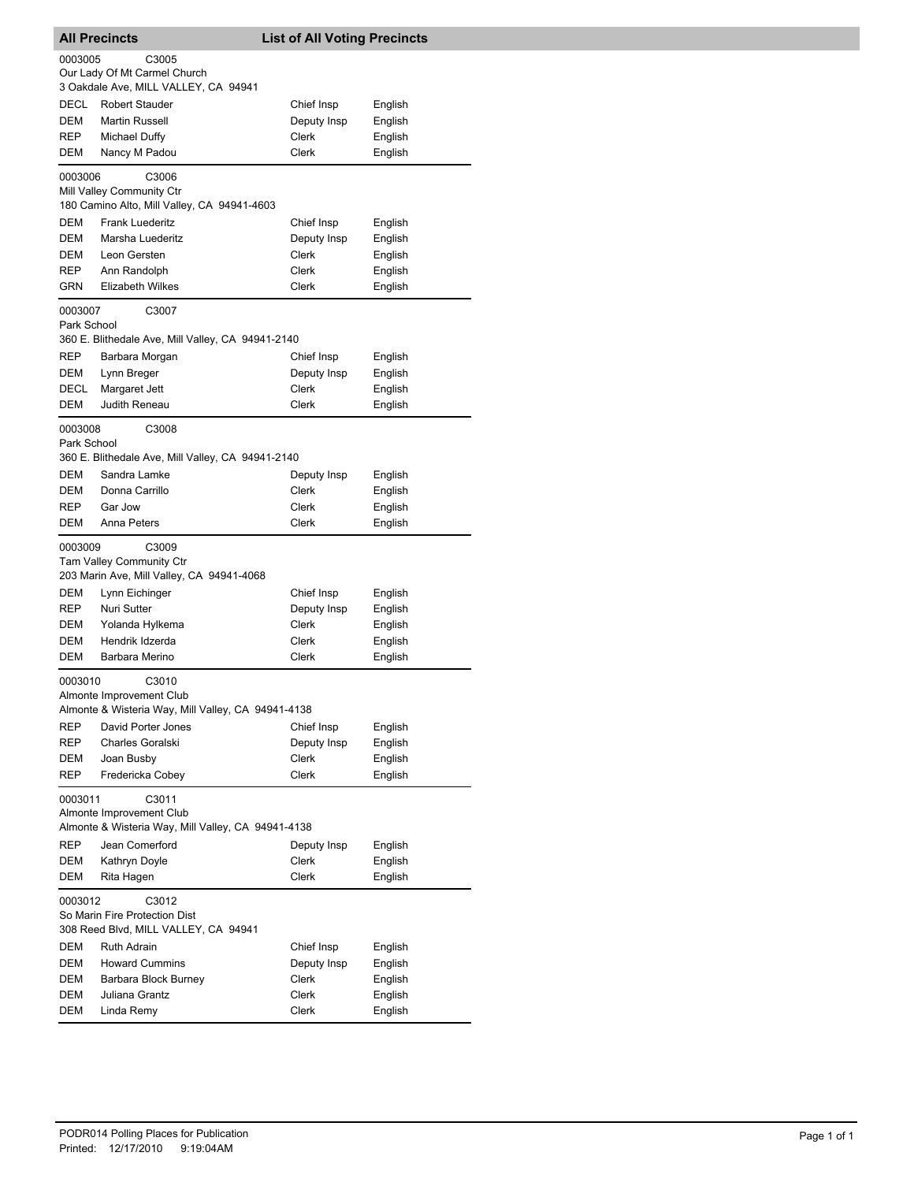|                   | <b>All Precincts</b>                                                         | <b>List of All Voting Precincts</b> |                    |  |
|-------------------|------------------------------------------------------------------------------|-------------------------------------|--------------------|--|
| 0003005           | C3005                                                                        |                                     |                    |  |
|                   | Our Lady Of Mt Carmel Church                                                 |                                     |                    |  |
|                   | 3 Oakdale Ave, MILL VALLEY, CA 94941                                         |                                     |                    |  |
| <b>DECL</b>       | <b>Robert Stauder</b>                                                        | Chief Insp                          | English            |  |
| DEM               | <b>Martin Russell</b>                                                        | Deputy Insp                         | English            |  |
| REP               | Michael Duffy                                                                | Clerk                               | English            |  |
| DEM               | Nancy M Padou                                                                | Clerk                               | English            |  |
| 0003006           | C3006                                                                        |                                     |                    |  |
|                   | Mill Valley Community Ctr                                                    |                                     |                    |  |
|                   | 180 Camino Alto, Mill Valley, CA 94941-4603                                  |                                     |                    |  |
| DEM               | <b>Frank Luederitz</b>                                                       | Chief Insp                          | English            |  |
| DEM               | Marsha Luederitz                                                             | Deputy Insp                         | English            |  |
| DEM               | Leon Gersten                                                                 | Clerk                               | English            |  |
| <b>REP</b><br>GRN | Ann Randolph<br><b>Elizabeth Wilkes</b>                                      | Clerk<br>Clerk                      | English<br>English |  |
|                   |                                                                              |                                     |                    |  |
| 0003007           | C3007                                                                        |                                     |                    |  |
| Park School       |                                                                              |                                     |                    |  |
|                   | 360 E. Blithedale Ave, Mill Valley, CA 94941-2140                            |                                     |                    |  |
| REP               | Barbara Morgan                                                               | Chief Insp                          | English            |  |
| DEM               | Lynn Breger                                                                  | Deputy Insp<br>Clerk                | English            |  |
| DECL<br>DEM       | Margaret Jett<br>Judith Reneau                                               | Clerk                               | English<br>English |  |
|                   |                                                                              |                                     |                    |  |
| 0003008           | C3008                                                                        |                                     |                    |  |
| Park School       | 360 E. Blithedale Ave, Mill Valley, CA 94941-2140                            |                                     |                    |  |
| DEM               | Sandra Lamke                                                                 |                                     |                    |  |
| DEM               | Donna Carrillo                                                               | Deputy Insp<br>Clerk                | English<br>English |  |
| REP               | Gar Jow                                                                      | Clerk                               | English            |  |
| DEM               | Anna Peters                                                                  | Clerk                               | English            |  |
|                   |                                                                              |                                     |                    |  |
| 0003009           | C3009                                                                        |                                     |                    |  |
|                   | <b>Tam Valley Community Ctr</b><br>203 Marin Ave, Mill Valley, CA 94941-4068 |                                     |                    |  |
| DEM               | Lynn Eichinger                                                               | Chief Insp                          | English            |  |
| <b>REP</b>        | Nuri Sutter                                                                  | Deputy Insp                         | English            |  |
| DEM               | Yolanda Hylkema                                                              | Clerk                               | English            |  |
| DEM               | Hendrik Idzerda                                                              | Clerk                               | English            |  |
| DEM               | Barbara Merino                                                               | Clerk                               | English            |  |
|                   |                                                                              |                                     |                    |  |
| 0003010           | C3010<br>Almonte Improvement Club                                            |                                     |                    |  |
|                   | Almonte & Wisteria Way, Mill Valley, CA 94941-4138                           |                                     |                    |  |
| REP               | David Porter Jones                                                           | Chief Insp                          | English            |  |
| REP               | Charles Goralski                                                             | Deputy Insp                         | English            |  |
| DEM               | Joan Busby                                                                   | <b>Clerk</b>                        | English            |  |
| REP               | Fredericka Cobey                                                             | Clerk                               | English            |  |
| 0003011           | C3011                                                                        |                                     |                    |  |
|                   | Almonte Improvement Club                                                     |                                     |                    |  |
|                   | Almonte & Wisteria Way, Mill Valley, CA 94941-4138                           |                                     |                    |  |
| REP               | Jean Comerford                                                               | Deputy Insp                         | English            |  |
| DEM               | Kathryn Doyle                                                                | Clerk                               | English            |  |
| <b>DEM</b>        | Rita Hagen                                                                   | Clerk                               | English            |  |
|                   |                                                                              |                                     |                    |  |
| 0003012           | C3012<br>So Marin Fire Protection Dist                                       |                                     |                    |  |
|                   | 308 Reed Blvd, MILL VALLEY, CA 94941                                         |                                     |                    |  |
| DEM               | Ruth Adrain                                                                  | Chief Insp                          | English            |  |
| DEM               | <b>Howard Cummins</b>                                                        | Deputy Insp                         | English            |  |
| DEM               | Barbara Block Burney                                                         | Clerk                               | English            |  |
| DEM               | Juliana Grantz                                                               | Clerk                               | English            |  |
| DEM               | Linda Remy                                                                   | Clerk                               | English            |  |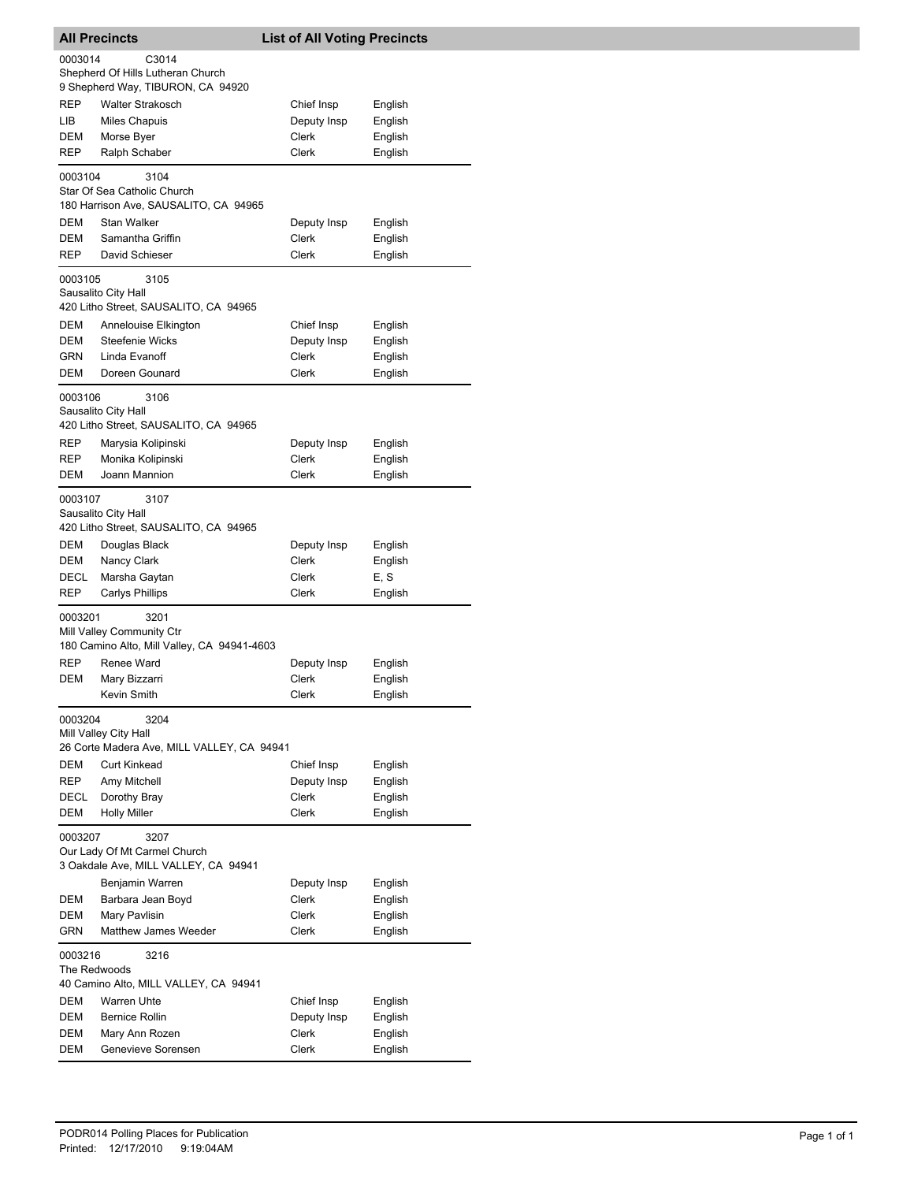| <b>All Precincts</b>                                                                              |                                                                                  | <b>List of All Voting Precincts</b> |                    |  |
|---------------------------------------------------------------------------------------------------|----------------------------------------------------------------------------------|-------------------------------------|--------------------|--|
| 0003014                                                                                           | C3014<br>Shepherd Of Hills Lutheran Church<br>9 Shepherd Way, TIBURON, CA 94920  |                                     |                    |  |
| REP<br>LІВ                                                                                        | <b>Walter Strakosch</b><br><b>Miles Chapuis</b>                                  | Chief Insp<br>Deputy Insp           | English<br>English |  |
| <b>DEM</b><br>REP                                                                                 | Morse Byer<br>Ralph Schaber                                                      | Clerk<br>Clerk                      | English<br>English |  |
| 0003104                                                                                           | 3104<br>Star Of Sea Catholic Church<br>180 Harrison Ave, SAUSALITO, CA 94965     |                                     |                    |  |
| DEM                                                                                               | Stan Walker                                                                      | Deputy Insp                         | English            |  |
| <b>DEM</b>                                                                                        | Samantha Griffin                                                                 | Clerk                               | English            |  |
| REP                                                                                               | David Schieser                                                                   | Clerk                               | English            |  |
| 0003105                                                                                           | 3105<br>Sausalito City Hall<br>420 Litho Street, SAUSALITO, CA 94965             |                                     |                    |  |
| <b>DEM</b>                                                                                        | Annelouise Elkington                                                             | Chief Insp                          | English            |  |
| DEM                                                                                               | <b>Steefenie Wicks</b>                                                           | Deputy Insp                         | English            |  |
| <b>GRN</b><br>DEM                                                                                 | Linda Evanoff<br>Doreen Gounard                                                  | <b>Clerk</b><br>Clerk               | English<br>English |  |
| 0003106                                                                                           | 3106<br>Sausalito City Hall                                                      |                                     |                    |  |
|                                                                                                   | 420 Litho Street, SAUSALITO, CA 94965                                            |                                     |                    |  |
| REP                                                                                               | Marysia Kolipinski                                                               | Deputy Insp                         | English            |  |
| REP<br>DEM                                                                                        | Monika Kolipinski<br>Joann Mannion                                               | Clerk<br>Clerk                      | English<br>English |  |
| 0003107                                                                                           | 3107<br>Sausalito City Hall<br>420 Litho Street, SAUSALITO, CA 94965             |                                     |                    |  |
| DEM                                                                                               | Douglas Black                                                                    | Deputy Insp                         | English            |  |
| DEM                                                                                               | Nancy Clark                                                                      | Clerk                               | English            |  |
| DECL<br>REP                                                                                       | Marsha Gaytan<br><b>Carlys Phillips</b>                                          | Clerk<br>Clerk                      | E, S<br>English    |  |
| 0003201                                                                                           | 3201<br>Mill Valley Community Ctr<br>180 Camino Alto, Mill Valley, CA 94941-4603 |                                     |                    |  |
| REP                                                                                               | Renee Ward                                                                       | Deputy Insp                         | English            |  |
| DEM                                                                                               | Mary Bizzarri                                                                    | Clerk                               | English            |  |
|                                                                                                   | Kevin Smith                                                                      | Clerk                               | English            |  |
| 0003204                                                                                           | 3204<br>Mill Valley City Hall<br>26 Corte Madera Ave, MILL VALLEY, CA 94941      |                                     |                    |  |
| DEM                                                                                               | <b>Curt Kinkead</b>                                                              | Chief Insp                          | English            |  |
| <b>REP</b>                                                                                        | Amy Mitchell                                                                     | Deputy Insp                         | English            |  |
| DECL                                                                                              | Dorothy Bray                                                                     | Clerk                               | English            |  |
| <b>Holly Miller</b><br>DEM<br>Clerk<br>English<br>0003207<br>3207<br>Our Lady Of Mt Carmel Church |                                                                                  |                                     |                    |  |
|                                                                                                   | 3 Oakdale Ave, MILL VALLEY, CA 94941<br>Benjamin Warren                          | Deputy Insp                         | English            |  |
| DEM                                                                                               | Barbara Jean Boyd                                                                | Clerk                               | English            |  |
| DEM                                                                                               | Mary Pavlisin                                                                    | Clerk                               | English            |  |
| GRN                                                                                               | Matthew James Weeder                                                             | Clerk                               | English            |  |
| 0003216<br>The Redwoods                                                                           | 3216                                                                             |                                     |                    |  |
| DEM                                                                                               | 40 Camino Alto, MILL VALLEY, CA 94941<br>Warren Uhte                             |                                     |                    |  |
| DEM                                                                                               | <b>Bernice Rollin</b>                                                            | Chief Insp<br>Deputy Insp           | English<br>English |  |
| DEM                                                                                               | Mary Ann Rozen                                                                   | Clerk                               | English            |  |
| DEM                                                                                               | Genevieve Sorensen                                                               | Clerk                               | English            |  |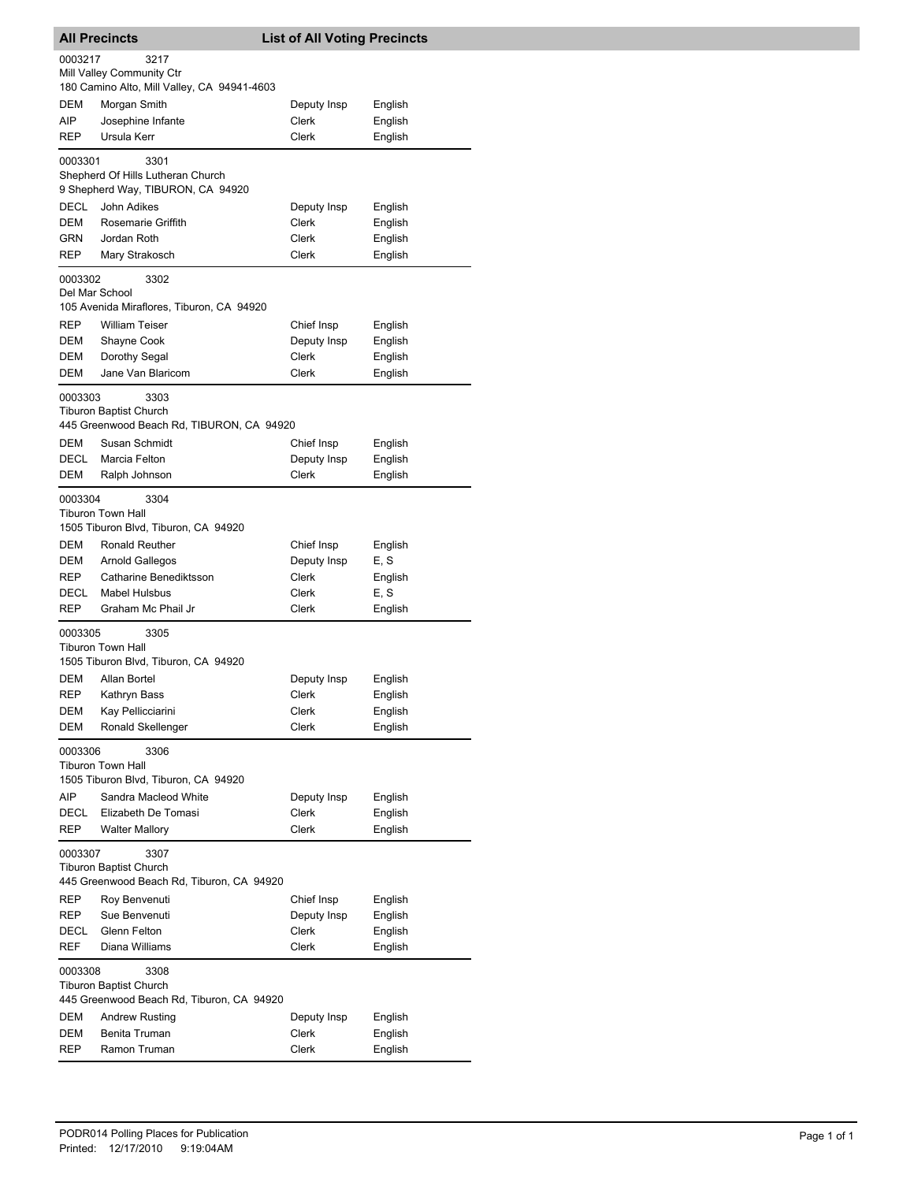| <b>All Precincts</b> |                                             | <b>List of All Voting Precincts</b> |         |
|----------------------|---------------------------------------------|-------------------------------------|---------|
| 0003217              | 3217                                        |                                     |         |
|                      | Mill Valley Community Ctr                   |                                     |         |
|                      | 180 Camino Alto, Mill Valley, CA 94941-4603 |                                     |         |
| DEM                  | Morgan Smith                                | Deputy Insp                         | English |
| AIP                  | Josephine Infante                           | Clerk                               | English |
| REP                  | Ursula Kerr                                 | Clerk                               | English |
| 0003301              | 3301                                        |                                     |         |
|                      | Shepherd Of Hills Lutheran Church           |                                     |         |
|                      | 9 Shepherd Way, TIBURON, CA 94920           |                                     |         |
| <b>DECL</b>          | John Adikes                                 | Deputy Insp                         | English |
| DEM                  | Rosemarie Griffith                          | Clerk                               | English |
| GRN                  | Jordan Roth                                 | Clerk                               | English |
| <b>REP</b>           | Mary Strakosch                              | Clerk                               | English |
| 0003302              | 3302                                        |                                     |         |
| Del Mar School       |                                             |                                     |         |
|                      | 105 Avenida Miraflores, Tiburon, CA 94920   |                                     |         |
| REP                  | <b>William Teiser</b>                       | Chief Insp                          | English |
| DEM                  | Shayne Cook                                 | Deputy Insp                         | English |
| DEM                  | Dorothy Segal                               | Clerk                               | English |
| DEM                  | Jane Van Blaricom                           | Clerk                               | English |
| 0003303              | 3303                                        |                                     |         |
|                      | <b>Tiburon Baptist Church</b>               |                                     |         |
|                      | 445 Greenwood Beach Rd, TIBURON, CA 94920   |                                     |         |
| DEM                  | Susan Schmidt                               | Chief Insp                          | English |
| <b>DECL</b>          | Marcia Felton                               | Deputy Insp                         | English |
| DEM                  | Ralph Johnson                               | Clerk                               | English |
| 0003304              | 3304                                        |                                     |         |
|                      | <b>Tiburon Town Hall</b>                    |                                     |         |
|                      | 1505 Tiburon Blvd, Tiburon, CA 94920        |                                     |         |
| DEM                  | Ronald Reuther                              | Chief Insp                          | English |
| DEM                  | Arnold Gallegos                             | Deputy Insp                         | E, S    |
| <b>REP</b>           | Catharine Benediktsson                      | Clerk                               | English |
| DECL                 | <b>Mabel Hulsbus</b>                        | Clerk                               | E, S    |
| REP                  | Graham Mc Phail Jr                          | Clerk                               | English |
| 0003305              | 3305                                        |                                     |         |
|                      | <b>Tiburon Town Hall</b>                    |                                     |         |
|                      | 1505 Tiburon Blvd, Tiburon, CA 94920        |                                     |         |
| <b>DEM</b>           | Allan Bortel                                | Deputy Insp                         | English |
| <b>REP</b>           | Kathryn Bass                                | Clerk                               | English |
| DEM                  | Kay Pellicciarini                           | Clerk                               | English |
| DEM                  | Ronald Skellenger                           | Clerk                               | English |
| 0003306              | 3306                                        |                                     |         |
|                      | Tiburon Town Hall                           |                                     |         |
|                      | 1505 Tiburon Blvd, Tiburon, CA 94920        |                                     |         |
| AIP                  | Sandra Macleod White                        | Deputy Insp                         | English |
| DECL                 | Elizabeth De Tomasi                         | Clerk                               | English |
| REP                  | <b>Walter Mallory</b>                       | Clerk                               | English |
| 0003307              | 3307                                        |                                     |         |
|                      | Tiburon Baptist Church                      |                                     |         |
|                      | 445 Greenwood Beach Rd, Tiburon, CA 94920   |                                     |         |
| REP                  | Roy Benvenuti                               | Chief Insp                          | English |
| REP                  | Sue Benvenuti                               | Deputy Insp                         | English |
| DECL                 | Glenn Felton                                | Clerk                               | English |
| REF                  | Diana Williams                              | Clerk                               | English |
| 0003308              | 3308<br><b>Tiburon Baptist Church</b>       |                                     |         |
|                      | 445 Greenwood Beach Rd, Tiburon, CA 94920   |                                     |         |
| DEM                  | <b>Andrew Rusting</b>                       | Deputy Insp                         | English |
| <b>DEM</b>           | Benita Truman                               | Clerk                               | English |
| REP                  | Ramon Truman                                | Clerk                               | English |
|                      |                                             |                                     |         |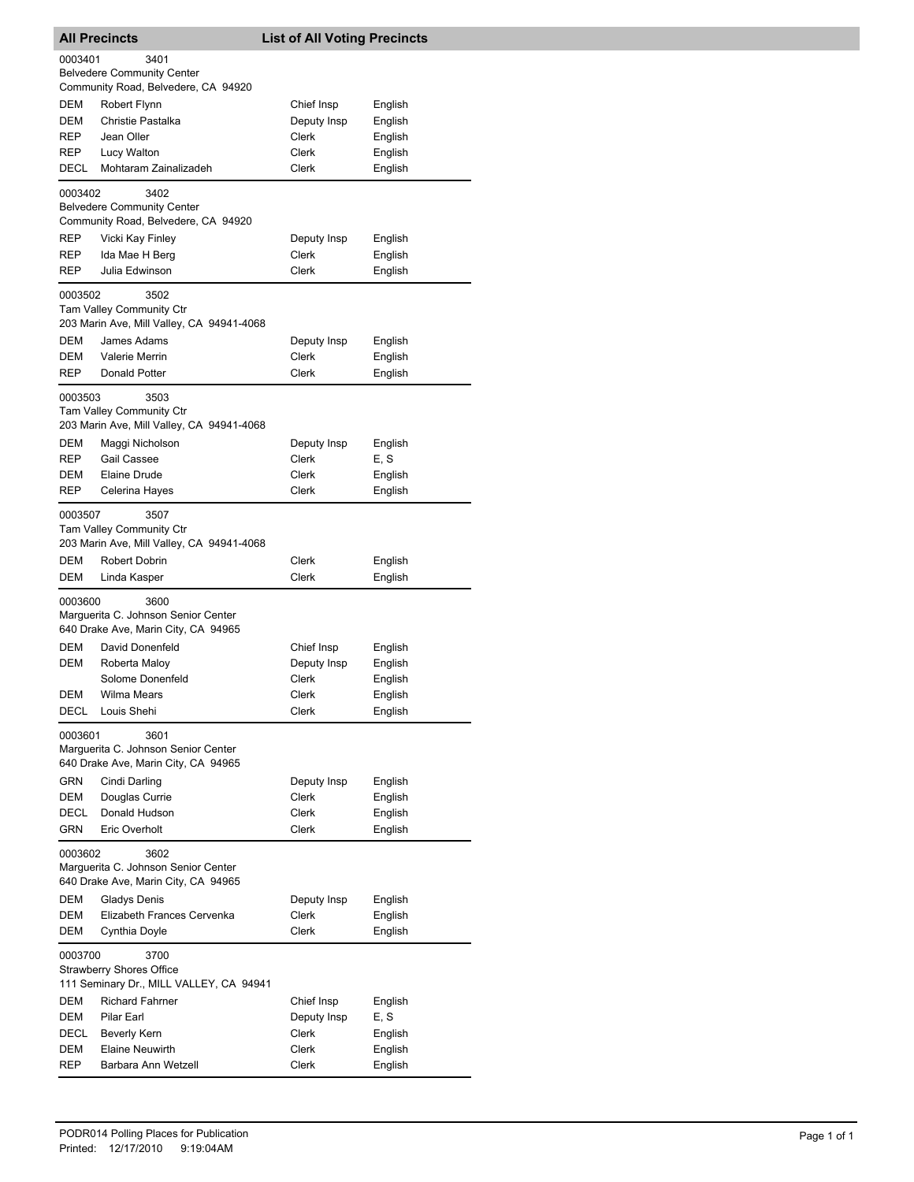|                   | <b>All Precincts</b>                                                                          | <b>List of All Voting Precincts</b> |                    |  |
|-------------------|-----------------------------------------------------------------------------------------------|-------------------------------------|--------------------|--|
| 0003401           | 3401<br><b>Belvedere Community Center</b>                                                     |                                     |                    |  |
|                   | Community Road, Belvedere, CA 94920                                                           |                                     |                    |  |
| DEM               | Robert Flynn                                                                                  | Chief Insp                          | English            |  |
| DEM               | Christie Pastalka                                                                             | Deputy Insp                         | English            |  |
| REP               | Jean Oller                                                                                    | <b>Clerk</b>                        | English            |  |
| REP               | Lucy Walton                                                                                   | Clerk                               | English            |  |
| DECL              | Mohtaram Zainalizadeh                                                                         | Clerk                               | English            |  |
| 0003402           | 3402<br><b>Belvedere Community Center</b><br>Community Road, Belvedere, CA 94920              |                                     |                    |  |
| REP               | Vicki Kay Finley                                                                              | Deputy Insp                         | English            |  |
| REP               | Ida Mae H Berg                                                                                | Clerk                               | English            |  |
| REP               | Julia Edwinson                                                                                | Clerk                               | English            |  |
| 0003502           | 3502<br><b>Tam Valley Community Ctr</b>                                                       |                                     |                    |  |
|                   | 203 Marin Ave, Mill Valley, CA 94941-4068                                                     |                                     |                    |  |
| <b>DEM</b><br>DEM | James Adams<br>Valerie Merrin                                                                 | Deputy Insp<br>Clerk                | English            |  |
| REP               | Donald Potter                                                                                 | Clerk                               | English<br>English |  |
|                   |                                                                                               |                                     |                    |  |
| 0003503           | 3503<br>Tam Valley Community Ctr<br>203 Marin Ave, Mill Valley, CA 94941-4068                 |                                     |                    |  |
| DEM               | Maggi Nicholson                                                                               | Deputy Insp                         | English            |  |
| REP               | Gail Cassee                                                                                   | Clerk                               | E, S               |  |
| DEM               | <b>Elaine Drude</b>                                                                           | Clerk                               | English            |  |
| REP               | Celerina Hayes                                                                                | Clerk                               | English            |  |
| 0003507           | 3507<br>Tam Valley Community Ctr<br>203 Marin Ave, Mill Valley, CA 94941-4068                 |                                     |                    |  |
| DEM               | Robert Dobrin                                                                                 | Clerk                               | English            |  |
| DEM               | Linda Kasper                                                                                  | Clerk                               | English            |  |
| 0003600           | 3600<br>Marguerita C. Johnson Senior Center<br>640 Drake Ave, Marin City, CA 94965            |                                     |                    |  |
| DEM               | David Donenfeld                                                                               | Chief Insp                          | English            |  |
| DEM               | Roberta Maloy                                                                                 | Deputy Insp                         | English            |  |
|                   | Solome Donenfeld                                                                              | Clerk                               | English            |  |
| DEM               | Wilma Mears                                                                                   | Clerk                               | English            |  |
| <b>DECL</b>       | Louis Shehi                                                                                   | Clerk                               | English            |  |
| 0003601           | 3601<br>Marguerita C. Johnson Senior Center<br>640 Drake Ave, Marin City, CA 94965            |                                     |                    |  |
| GRN               | Cindi Darling                                                                                 | Deputy Insp                         | English            |  |
| DEM               | Douglas Currie                                                                                | Clerk                               | English            |  |
| DECL              | Donald Hudson                                                                                 | Clerk                               | English            |  |
| GRN               | Eric Overholt                                                                                 | Clerk                               | English            |  |
|                   | 3602<br>0003602<br>Marguerita C. Johnson Senior Center<br>640 Drake Ave, Marin City, CA 94965 |                                     |                    |  |
| DEM               | Gladys Denis                                                                                  | Deputy Insp                         | English            |  |
| DEM               | Elizabeth Frances Cervenka                                                                    | Clerk                               | English            |  |
| DEM               | Cynthia Doyle                                                                                 | Clerk                               | English            |  |
| 0003700           | 3700<br><b>Strawberry Shores Office</b>                                                       |                                     |                    |  |
|                   | 111 Seminary Dr., MILL VALLEY, CA 94941                                                       |                                     |                    |  |
| DEM<br>DEM        | <b>Richard Fahrner</b><br>Pilar Earl                                                          | Chief Insp                          | English<br>E, S    |  |
| DECL              | Beverly Kern                                                                                  | Deputy Insp<br>Clerk                | English            |  |
| DEM               | <b>Elaine Neuwirth</b>                                                                        | Clerk                               | English            |  |
| REP               | Barbara Ann Wetzell                                                                           | Clerk                               | English            |  |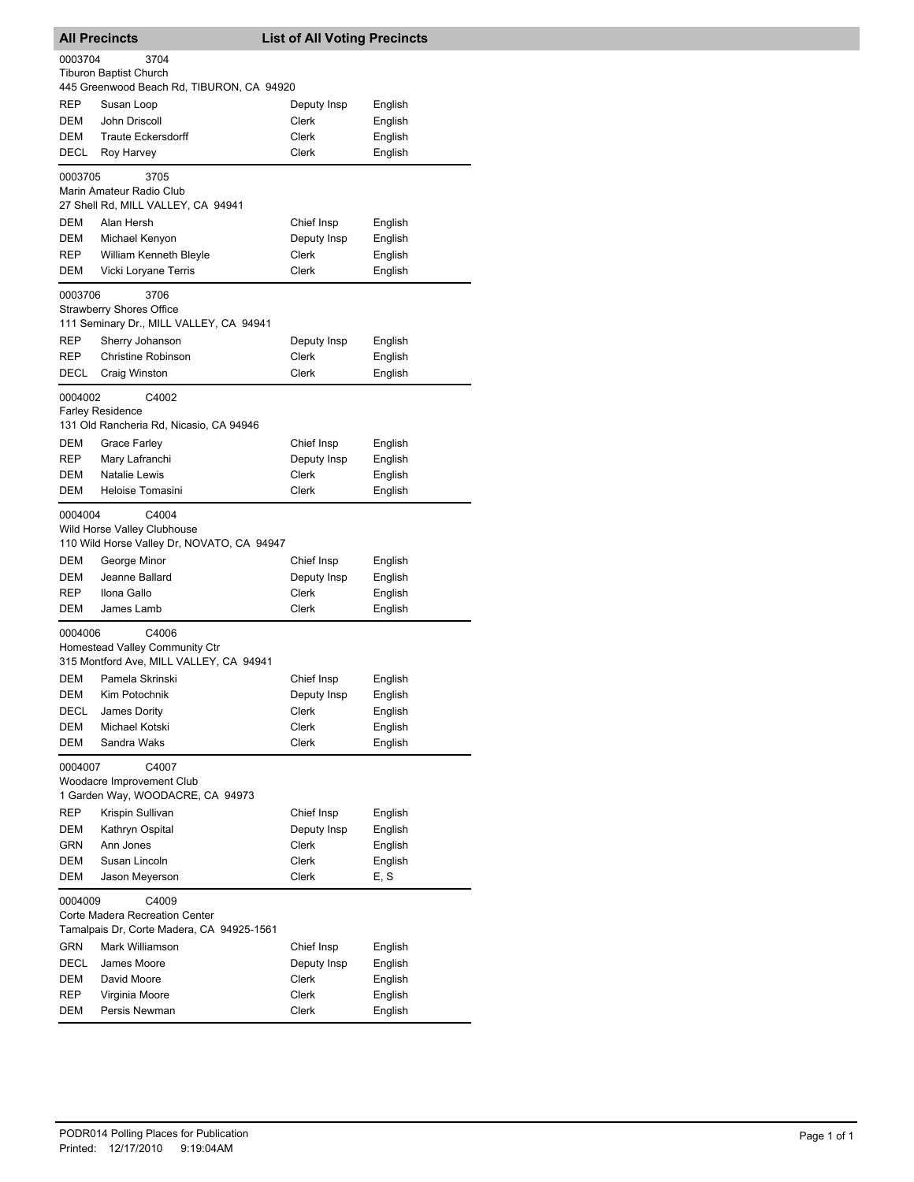|            | <b>All Precincts</b>                                                                 | <b>List of All Voting Precincts</b> |                    |
|------------|--------------------------------------------------------------------------------------|-------------------------------------|--------------------|
| 0003704    | 3704<br><b>Tiburon Baptist Church</b><br>445 Greenwood Beach Rd, TIBURON, CA 94920   |                                     |                    |
| <b>REP</b> | Susan Loop                                                                           | Deputy Insp                         | English            |
| DEM        | John Driscoll                                                                        | Clerk                               | English            |
| DEM        | <b>Traute Eckersdorff</b>                                                            | Clerk                               | English            |
| DECL       | Roy Harvey                                                                           | Clerk                               | English            |
|            |                                                                                      |                                     |                    |
| 0003705    | 3705<br>Marin Amateur Radio Club<br>27 Shell Rd, MILL VALLEY, CA 94941               |                                     |                    |
| DEM        | Alan Hersh                                                                           | Chief Insp                          | English            |
| <b>DEM</b> | Michael Kenyon                                                                       | Deputy Insp                         | English            |
| REP        | <b>William Kenneth Bleyle</b>                                                        | Clerk                               | English            |
| DEM        | Vicki Loryane Terris                                                                 | <b>Clerk</b>                        | English            |
| 0003706    | 3706<br><b>Strawberry Shores Office</b>                                              |                                     |                    |
|            | 111 Seminary Dr., MILL VALLEY, CA 94941                                              |                                     |                    |
| REP<br>REP | Sherry Johanson<br><b>Christine Robinson</b>                                         | Deputy Insp<br>Clerk                | English<br>English |
| DECL       | Craig Winston                                                                        | Clerk                               | English            |
| 0004002    | C4002<br><b>Farley Residence</b>                                                     |                                     |                    |
|            | 131 Old Rancheria Rd, Nicasio, CA 94946                                              |                                     |                    |
| DEM        | <b>Grace Farley</b>                                                                  | Chief Insp                          | English            |
| REP        | Mary Lafranchi                                                                       | Deputy Insp                         | English            |
| DEM        | <b>Natalie Lewis</b>                                                                 | Clerk                               | English            |
| DEM        | Heloise Tomasini                                                                     | Clerk                               | English            |
| 0004004    | C4004<br>Wild Horse Valley Clubhouse<br>110 Wild Horse Valley Dr, NOVATO, CA 94947   |                                     |                    |
| DEM        | George Minor                                                                         | Chief Insp                          | English            |
| DEM        | Jeanne Ballard                                                                       | Deputy Insp                         | English            |
| <b>REP</b> | Ilona Gallo                                                                          | Clerk                               | English            |
| DEM        | James Lamb                                                                           | Clerk                               | English            |
| 0004006    | C4006<br>Homestead Valley Community Ctr<br>315 Montford Ave, MILL VALLEY, CA 94941   |                                     |                    |
| DEM        | Pamela Skrinski                                                                      | Chief Insp                          | English            |
| DEM        | Kim Potochnik                                                                        | Deputy Insp                         | English            |
| DECL       | James Dority                                                                         | Clerk                               | English            |
| DEM        | Michael Kotski                                                                       | Clerk                               | English            |
| DEM        | Sandra Waks                                                                          | Clerk                               | English            |
| 0004007    | C4007<br>Woodacre Improvement Club<br>1 Garden Way, WOODACRE, CA 94973               |                                     |                    |
| <b>REP</b> | Krispin Sullivan                                                                     | Chief Insp                          | English            |
| <b>DEM</b> | Kathryn Ospital                                                                      | Deputy Insp                         | English            |
| GRN        | Ann Jones                                                                            | Clerk                               | English            |
| DEM        | Susan Lincoln                                                                        | Clerk                               | English            |
| DEM        | Jason Meyerson                                                                       | Clerk                               | E, S               |
| 0004009    | C4009<br>Corte Madera Recreation Center<br>Tamalpais Dr, Corte Madera, CA 94925-1561 |                                     |                    |
| <b>GRN</b> | Mark Williamson                                                                      | Chief Insp                          | English            |
| DECL       | James Moore                                                                          | Deputy Insp                         | English            |
| DEM        | David Moore                                                                          | Clerk                               | English            |
| REP        | Virginia Moore                                                                       | Clerk                               | English            |
| DEM        | Persis Newman                                                                        | Clerk                               | English            |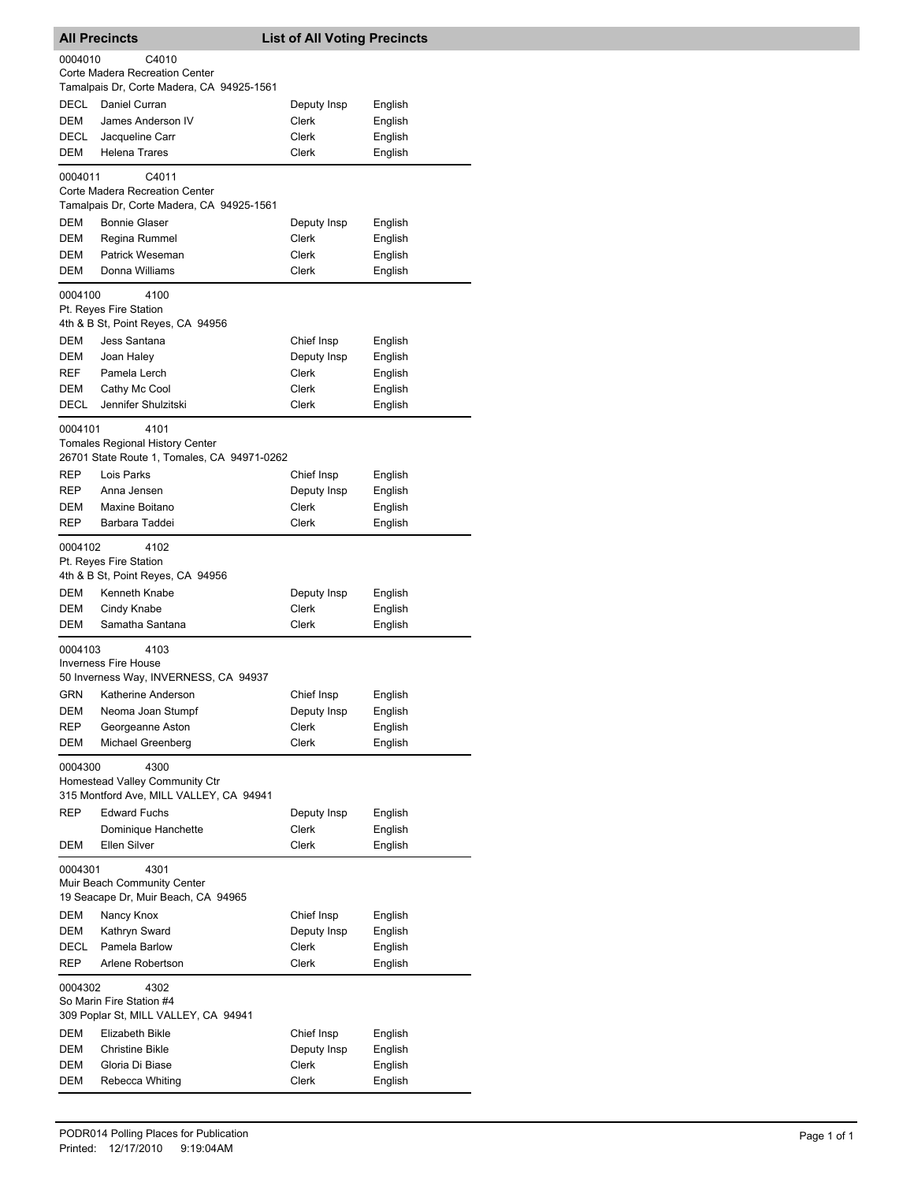| 0004010<br>C4010<br>Corte Madera Recreation Center<br>Tamalpais Dr, Corte Madera, CA 94925-1561<br>DECL<br>Daniel Curran<br>Deputy Insp<br>English<br><b>DEM</b><br>James Anderson IV<br>Clerk<br>English<br>DECL<br>Jacqueline Carr<br>Clerk<br>English<br>Clerk<br>DEM<br><b>Helena Trares</b><br>English<br>0004011<br>C4011<br>Corte Madera Recreation Center<br>Tamalpais Dr, Corte Madera, CA 94925-1561<br>DEM<br><b>Bonnie Glaser</b><br>Deputy Insp<br>English<br><b>DEM</b><br>Regina Rummel<br>Clerk<br>English<br>DEM<br>Patrick Weseman<br>Clerk<br>English<br>Donna Williams<br>DEM<br>Clerk<br>English<br>0004100<br>4100<br>Pt. Reyes Fire Station<br>4th & B St, Point Reyes, CA 94956<br>DEM<br>Jess Santana<br>Chief Insp<br>English<br>DEM<br>Deputy Insp<br>English<br>Joan Haley<br>Pamela Lerch<br>Clerk<br>English<br>REF<br>DEM<br>Cathy Mc Cool<br>Clerk<br>English<br>Jennifer Shulzitski<br>DECL<br>Clerk<br>English<br>0004101<br>4101<br><b>Tomales Regional History Center</b><br>26701 State Route 1, Tomales, CA 94971-0262<br><b>REP</b><br>Lois Parks<br>Chief Insp<br>English<br>REP<br>Anna Jensen<br>Deputy Insp<br>English<br>Maxine Boitano<br>Clerk<br>English<br>DEM<br>REP<br>Barbara Taddei<br>Clerk<br>English<br>0004102<br>4102<br>Pt. Reyes Fire Station<br>4th & B St, Point Reyes, CA 94956<br>DEM<br>Kenneth Knabe<br>Deputy Insp<br>English<br>DEM<br>Cindy Knabe<br>Clerk<br>English<br>DEM<br>Samatha Santana<br>Clerk<br>English<br>0004103<br>4103<br><b>Inverness Fire House</b><br>50 Inverness Way, INVERNESS, CA 94937<br>Katherine Anderson<br><b>GRN</b><br>Chief Insp<br>English<br>Deputy Insp<br>English<br>DEM<br>Neoma Joan Stumpf<br>Clerk<br>REP<br>Georgeanne Aston<br>English<br>Clerk<br>DEM<br>Michael Greenberg<br>English<br>0004300<br>4300<br>Homestead Valley Community Ctr<br>315 Montford Ave, MILL VALLEY, CA 94941<br>REP<br><b>Edward Fuchs</b><br>English<br>Deputy Insp<br>Dominique Hanchette<br><b>Clerk</b><br>English<br><b>DEM</b><br>Ellen Silver<br>Clerk<br>English<br>4301<br>0004301<br>Muir Beach Community Center<br>19 Seacape Dr, Muir Beach, CA 94965<br>DEM<br>Nancy Knox<br>Chief Insp<br>English<br>DEM<br>Kathryn Sward<br>Deputy Insp<br>English<br>Pamela Barlow<br>DECL<br>Clerk<br>English<br>Arlene Robertson<br>Clerk<br>REP<br>English<br>4302<br>0004302<br>So Marin Fire Station #4<br>309 Poplar St, MILL VALLEY, CA 94941<br>DEM<br>Elizabeth Bikle<br>Chief Insp<br>English<br>DEM<br><b>Christine Bikle</b><br>Deputy Insp<br>English<br>DEM<br>Gloria Di Biase<br>Clerk<br>English<br>DEM<br>Rebecca Whiting<br>Clerk<br>English | <b>All Precincts</b> | <b>List of All Voting Precincts</b> |  |
|--------------------------------------------------------------------------------------------------------------------------------------------------------------------------------------------------------------------------------------------------------------------------------------------------------------------------------------------------------------------------------------------------------------------------------------------------------------------------------------------------------------------------------------------------------------------------------------------------------------------------------------------------------------------------------------------------------------------------------------------------------------------------------------------------------------------------------------------------------------------------------------------------------------------------------------------------------------------------------------------------------------------------------------------------------------------------------------------------------------------------------------------------------------------------------------------------------------------------------------------------------------------------------------------------------------------------------------------------------------------------------------------------------------------------------------------------------------------------------------------------------------------------------------------------------------------------------------------------------------------------------------------------------------------------------------------------------------------------------------------------------------------------------------------------------------------------------------------------------------------------------------------------------------------------------------------------------------------------------------------------------------------------------------------------------------------------------------------------------------------------------------------------------------------------------------------------------------------------------------------------------------------------------------------------------------------------------------------------------------------------------------------------------------------------------------------------------------------------------------------------------------------------------------------------------------------------------------------------------------------------------------------------------|----------------------|-------------------------------------|--|
|                                                                                                                                                                                                                                                                                                                                                                                                                                                                                                                                                                                                                                                                                                                                                                                                                                                                                                                                                                                                                                                                                                                                                                                                                                                                                                                                                                                                                                                                                                                                                                                                                                                                                                                                                                                                                                                                                                                                                                                                                                                                                                                                                                                                                                                                                                                                                                                                                                                                                                                                                                                                                                                        |                      |                                     |  |
|                                                                                                                                                                                                                                                                                                                                                                                                                                                                                                                                                                                                                                                                                                                                                                                                                                                                                                                                                                                                                                                                                                                                                                                                                                                                                                                                                                                                                                                                                                                                                                                                                                                                                                                                                                                                                                                                                                                                                                                                                                                                                                                                                                                                                                                                                                                                                                                                                                                                                                                                                                                                                                                        |                      |                                     |  |
|                                                                                                                                                                                                                                                                                                                                                                                                                                                                                                                                                                                                                                                                                                                                                                                                                                                                                                                                                                                                                                                                                                                                                                                                                                                                                                                                                                                                                                                                                                                                                                                                                                                                                                                                                                                                                                                                                                                                                                                                                                                                                                                                                                                                                                                                                                                                                                                                                                                                                                                                                                                                                                                        |                      |                                     |  |
|                                                                                                                                                                                                                                                                                                                                                                                                                                                                                                                                                                                                                                                                                                                                                                                                                                                                                                                                                                                                                                                                                                                                                                                                                                                                                                                                                                                                                                                                                                                                                                                                                                                                                                                                                                                                                                                                                                                                                                                                                                                                                                                                                                                                                                                                                                                                                                                                                                                                                                                                                                                                                                                        |                      |                                     |  |
|                                                                                                                                                                                                                                                                                                                                                                                                                                                                                                                                                                                                                                                                                                                                                                                                                                                                                                                                                                                                                                                                                                                                                                                                                                                                                                                                                                                                                                                                                                                                                                                                                                                                                                                                                                                                                                                                                                                                                                                                                                                                                                                                                                                                                                                                                                                                                                                                                                                                                                                                                                                                                                                        |                      |                                     |  |
|                                                                                                                                                                                                                                                                                                                                                                                                                                                                                                                                                                                                                                                                                                                                                                                                                                                                                                                                                                                                                                                                                                                                                                                                                                                                                                                                                                                                                                                                                                                                                                                                                                                                                                                                                                                                                                                                                                                                                                                                                                                                                                                                                                                                                                                                                                                                                                                                                                                                                                                                                                                                                                                        |                      |                                     |  |
|                                                                                                                                                                                                                                                                                                                                                                                                                                                                                                                                                                                                                                                                                                                                                                                                                                                                                                                                                                                                                                                                                                                                                                                                                                                                                                                                                                                                                                                                                                                                                                                                                                                                                                                                                                                                                                                                                                                                                                                                                                                                                                                                                                                                                                                                                                                                                                                                                                                                                                                                                                                                                                                        |                      |                                     |  |
|                                                                                                                                                                                                                                                                                                                                                                                                                                                                                                                                                                                                                                                                                                                                                                                                                                                                                                                                                                                                                                                                                                                                                                                                                                                                                                                                                                                                                                                                                                                                                                                                                                                                                                                                                                                                                                                                                                                                                                                                                                                                                                                                                                                                                                                                                                                                                                                                                                                                                                                                                                                                                                                        |                      |                                     |  |
|                                                                                                                                                                                                                                                                                                                                                                                                                                                                                                                                                                                                                                                                                                                                                                                                                                                                                                                                                                                                                                                                                                                                                                                                                                                                                                                                                                                                                                                                                                                                                                                                                                                                                                                                                                                                                                                                                                                                                                                                                                                                                                                                                                                                                                                                                                                                                                                                                                                                                                                                                                                                                                                        |                      |                                     |  |
|                                                                                                                                                                                                                                                                                                                                                                                                                                                                                                                                                                                                                                                                                                                                                                                                                                                                                                                                                                                                                                                                                                                                                                                                                                                                                                                                                                                                                                                                                                                                                                                                                                                                                                                                                                                                                                                                                                                                                                                                                                                                                                                                                                                                                                                                                                                                                                                                                                                                                                                                                                                                                                                        |                      |                                     |  |
|                                                                                                                                                                                                                                                                                                                                                                                                                                                                                                                                                                                                                                                                                                                                                                                                                                                                                                                                                                                                                                                                                                                                                                                                                                                                                                                                                                                                                                                                                                                                                                                                                                                                                                                                                                                                                                                                                                                                                                                                                                                                                                                                                                                                                                                                                                                                                                                                                                                                                                                                                                                                                                                        |                      |                                     |  |
|                                                                                                                                                                                                                                                                                                                                                                                                                                                                                                                                                                                                                                                                                                                                                                                                                                                                                                                                                                                                                                                                                                                                                                                                                                                                                                                                                                                                                                                                                                                                                                                                                                                                                                                                                                                                                                                                                                                                                                                                                                                                                                                                                                                                                                                                                                                                                                                                                                                                                                                                                                                                                                                        |                      |                                     |  |
|                                                                                                                                                                                                                                                                                                                                                                                                                                                                                                                                                                                                                                                                                                                                                                                                                                                                                                                                                                                                                                                                                                                                                                                                                                                                                                                                                                                                                                                                                                                                                                                                                                                                                                                                                                                                                                                                                                                                                                                                                                                                                                                                                                                                                                                                                                                                                                                                                                                                                                                                                                                                                                                        |                      |                                     |  |
|                                                                                                                                                                                                                                                                                                                                                                                                                                                                                                                                                                                                                                                                                                                                                                                                                                                                                                                                                                                                                                                                                                                                                                                                                                                                                                                                                                                                                                                                                                                                                                                                                                                                                                                                                                                                                                                                                                                                                                                                                                                                                                                                                                                                                                                                                                                                                                                                                                                                                                                                                                                                                                                        |                      |                                     |  |
|                                                                                                                                                                                                                                                                                                                                                                                                                                                                                                                                                                                                                                                                                                                                                                                                                                                                                                                                                                                                                                                                                                                                                                                                                                                                                                                                                                                                                                                                                                                                                                                                                                                                                                                                                                                                                                                                                                                                                                                                                                                                                                                                                                                                                                                                                                                                                                                                                                                                                                                                                                                                                                                        |                      |                                     |  |
|                                                                                                                                                                                                                                                                                                                                                                                                                                                                                                                                                                                                                                                                                                                                                                                                                                                                                                                                                                                                                                                                                                                                                                                                                                                                                                                                                                                                                                                                                                                                                                                                                                                                                                                                                                                                                                                                                                                                                                                                                                                                                                                                                                                                                                                                                                                                                                                                                                                                                                                                                                                                                                                        |                      |                                     |  |
|                                                                                                                                                                                                                                                                                                                                                                                                                                                                                                                                                                                                                                                                                                                                                                                                                                                                                                                                                                                                                                                                                                                                                                                                                                                                                                                                                                                                                                                                                                                                                                                                                                                                                                                                                                                                                                                                                                                                                                                                                                                                                                                                                                                                                                                                                                                                                                                                                                                                                                                                                                                                                                                        |                      |                                     |  |
|                                                                                                                                                                                                                                                                                                                                                                                                                                                                                                                                                                                                                                                                                                                                                                                                                                                                                                                                                                                                                                                                                                                                                                                                                                                                                                                                                                                                                                                                                                                                                                                                                                                                                                                                                                                                                                                                                                                                                                                                                                                                                                                                                                                                                                                                                                                                                                                                                                                                                                                                                                                                                                                        |                      |                                     |  |
|                                                                                                                                                                                                                                                                                                                                                                                                                                                                                                                                                                                                                                                                                                                                                                                                                                                                                                                                                                                                                                                                                                                                                                                                                                                                                                                                                                                                                                                                                                                                                                                                                                                                                                                                                                                                                                                                                                                                                                                                                                                                                                                                                                                                                                                                                                                                                                                                                                                                                                                                                                                                                                                        |                      |                                     |  |
|                                                                                                                                                                                                                                                                                                                                                                                                                                                                                                                                                                                                                                                                                                                                                                                                                                                                                                                                                                                                                                                                                                                                                                                                                                                                                                                                                                                                                                                                                                                                                                                                                                                                                                                                                                                                                                                                                                                                                                                                                                                                                                                                                                                                                                                                                                                                                                                                                                                                                                                                                                                                                                                        |                      |                                     |  |
|                                                                                                                                                                                                                                                                                                                                                                                                                                                                                                                                                                                                                                                                                                                                                                                                                                                                                                                                                                                                                                                                                                                                                                                                                                                                                                                                                                                                                                                                                                                                                                                                                                                                                                                                                                                                                                                                                                                                                                                                                                                                                                                                                                                                                                                                                                                                                                                                                                                                                                                                                                                                                                                        |                      |                                     |  |
|                                                                                                                                                                                                                                                                                                                                                                                                                                                                                                                                                                                                                                                                                                                                                                                                                                                                                                                                                                                                                                                                                                                                                                                                                                                                                                                                                                                                                                                                                                                                                                                                                                                                                                                                                                                                                                                                                                                                                                                                                                                                                                                                                                                                                                                                                                                                                                                                                                                                                                                                                                                                                                                        |                      |                                     |  |
|                                                                                                                                                                                                                                                                                                                                                                                                                                                                                                                                                                                                                                                                                                                                                                                                                                                                                                                                                                                                                                                                                                                                                                                                                                                                                                                                                                                                                                                                                                                                                                                                                                                                                                                                                                                                                                                                                                                                                                                                                                                                                                                                                                                                                                                                                                                                                                                                                                                                                                                                                                                                                                                        |                      |                                     |  |
|                                                                                                                                                                                                                                                                                                                                                                                                                                                                                                                                                                                                                                                                                                                                                                                                                                                                                                                                                                                                                                                                                                                                                                                                                                                                                                                                                                                                                                                                                                                                                                                                                                                                                                                                                                                                                                                                                                                                                                                                                                                                                                                                                                                                                                                                                                                                                                                                                                                                                                                                                                                                                                                        |                      |                                     |  |
|                                                                                                                                                                                                                                                                                                                                                                                                                                                                                                                                                                                                                                                                                                                                                                                                                                                                                                                                                                                                                                                                                                                                                                                                                                                                                                                                                                                                                                                                                                                                                                                                                                                                                                                                                                                                                                                                                                                                                                                                                                                                                                                                                                                                                                                                                                                                                                                                                                                                                                                                                                                                                                                        |                      |                                     |  |
|                                                                                                                                                                                                                                                                                                                                                                                                                                                                                                                                                                                                                                                                                                                                                                                                                                                                                                                                                                                                                                                                                                                                                                                                                                                                                                                                                                                                                                                                                                                                                                                                                                                                                                                                                                                                                                                                                                                                                                                                                                                                                                                                                                                                                                                                                                                                                                                                                                                                                                                                                                                                                                                        |                      |                                     |  |
|                                                                                                                                                                                                                                                                                                                                                                                                                                                                                                                                                                                                                                                                                                                                                                                                                                                                                                                                                                                                                                                                                                                                                                                                                                                                                                                                                                                                                                                                                                                                                                                                                                                                                                                                                                                                                                                                                                                                                                                                                                                                                                                                                                                                                                                                                                                                                                                                                                                                                                                                                                                                                                                        |                      |                                     |  |
|                                                                                                                                                                                                                                                                                                                                                                                                                                                                                                                                                                                                                                                                                                                                                                                                                                                                                                                                                                                                                                                                                                                                                                                                                                                                                                                                                                                                                                                                                                                                                                                                                                                                                                                                                                                                                                                                                                                                                                                                                                                                                                                                                                                                                                                                                                                                                                                                                                                                                                                                                                                                                                                        |                      |                                     |  |
|                                                                                                                                                                                                                                                                                                                                                                                                                                                                                                                                                                                                                                                                                                                                                                                                                                                                                                                                                                                                                                                                                                                                                                                                                                                                                                                                                                                                                                                                                                                                                                                                                                                                                                                                                                                                                                                                                                                                                                                                                                                                                                                                                                                                                                                                                                                                                                                                                                                                                                                                                                                                                                                        |                      |                                     |  |
|                                                                                                                                                                                                                                                                                                                                                                                                                                                                                                                                                                                                                                                                                                                                                                                                                                                                                                                                                                                                                                                                                                                                                                                                                                                                                                                                                                                                                                                                                                                                                                                                                                                                                                                                                                                                                                                                                                                                                                                                                                                                                                                                                                                                                                                                                                                                                                                                                                                                                                                                                                                                                                                        |                      |                                     |  |
|                                                                                                                                                                                                                                                                                                                                                                                                                                                                                                                                                                                                                                                                                                                                                                                                                                                                                                                                                                                                                                                                                                                                                                                                                                                                                                                                                                                                                                                                                                                                                                                                                                                                                                                                                                                                                                                                                                                                                                                                                                                                                                                                                                                                                                                                                                                                                                                                                                                                                                                                                                                                                                                        |                      |                                     |  |
|                                                                                                                                                                                                                                                                                                                                                                                                                                                                                                                                                                                                                                                                                                                                                                                                                                                                                                                                                                                                                                                                                                                                                                                                                                                                                                                                                                                                                                                                                                                                                                                                                                                                                                                                                                                                                                                                                                                                                                                                                                                                                                                                                                                                                                                                                                                                                                                                                                                                                                                                                                                                                                                        |                      |                                     |  |
|                                                                                                                                                                                                                                                                                                                                                                                                                                                                                                                                                                                                                                                                                                                                                                                                                                                                                                                                                                                                                                                                                                                                                                                                                                                                                                                                                                                                                                                                                                                                                                                                                                                                                                                                                                                                                                                                                                                                                                                                                                                                                                                                                                                                                                                                                                                                                                                                                                                                                                                                                                                                                                                        |                      |                                     |  |
|                                                                                                                                                                                                                                                                                                                                                                                                                                                                                                                                                                                                                                                                                                                                                                                                                                                                                                                                                                                                                                                                                                                                                                                                                                                                                                                                                                                                                                                                                                                                                                                                                                                                                                                                                                                                                                                                                                                                                                                                                                                                                                                                                                                                                                                                                                                                                                                                                                                                                                                                                                                                                                                        |                      |                                     |  |
|                                                                                                                                                                                                                                                                                                                                                                                                                                                                                                                                                                                                                                                                                                                                                                                                                                                                                                                                                                                                                                                                                                                                                                                                                                                                                                                                                                                                                                                                                                                                                                                                                                                                                                                                                                                                                                                                                                                                                                                                                                                                                                                                                                                                                                                                                                                                                                                                                                                                                                                                                                                                                                                        |                      |                                     |  |
|                                                                                                                                                                                                                                                                                                                                                                                                                                                                                                                                                                                                                                                                                                                                                                                                                                                                                                                                                                                                                                                                                                                                                                                                                                                                                                                                                                                                                                                                                                                                                                                                                                                                                                                                                                                                                                                                                                                                                                                                                                                                                                                                                                                                                                                                                                                                                                                                                                                                                                                                                                                                                                                        |                      |                                     |  |
|                                                                                                                                                                                                                                                                                                                                                                                                                                                                                                                                                                                                                                                                                                                                                                                                                                                                                                                                                                                                                                                                                                                                                                                                                                                                                                                                                                                                                                                                                                                                                                                                                                                                                                                                                                                                                                                                                                                                                                                                                                                                                                                                                                                                                                                                                                                                                                                                                                                                                                                                                                                                                                                        |                      |                                     |  |
|                                                                                                                                                                                                                                                                                                                                                                                                                                                                                                                                                                                                                                                                                                                                                                                                                                                                                                                                                                                                                                                                                                                                                                                                                                                                                                                                                                                                                                                                                                                                                                                                                                                                                                                                                                                                                                                                                                                                                                                                                                                                                                                                                                                                                                                                                                                                                                                                                                                                                                                                                                                                                                                        |                      |                                     |  |
|                                                                                                                                                                                                                                                                                                                                                                                                                                                                                                                                                                                                                                                                                                                                                                                                                                                                                                                                                                                                                                                                                                                                                                                                                                                                                                                                                                                                                                                                                                                                                                                                                                                                                                                                                                                                                                                                                                                                                                                                                                                                                                                                                                                                                                                                                                                                                                                                                                                                                                                                                                                                                                                        |                      |                                     |  |
|                                                                                                                                                                                                                                                                                                                                                                                                                                                                                                                                                                                                                                                                                                                                                                                                                                                                                                                                                                                                                                                                                                                                                                                                                                                                                                                                                                                                                                                                                                                                                                                                                                                                                                                                                                                                                                                                                                                                                                                                                                                                                                                                                                                                                                                                                                                                                                                                                                                                                                                                                                                                                                                        |                      |                                     |  |
|                                                                                                                                                                                                                                                                                                                                                                                                                                                                                                                                                                                                                                                                                                                                                                                                                                                                                                                                                                                                                                                                                                                                                                                                                                                                                                                                                                                                                                                                                                                                                                                                                                                                                                                                                                                                                                                                                                                                                                                                                                                                                                                                                                                                                                                                                                                                                                                                                                                                                                                                                                                                                                                        |                      |                                     |  |
|                                                                                                                                                                                                                                                                                                                                                                                                                                                                                                                                                                                                                                                                                                                                                                                                                                                                                                                                                                                                                                                                                                                                                                                                                                                                                                                                                                                                                                                                                                                                                                                                                                                                                                                                                                                                                                                                                                                                                                                                                                                                                                                                                                                                                                                                                                                                                                                                                                                                                                                                                                                                                                                        |                      |                                     |  |
|                                                                                                                                                                                                                                                                                                                                                                                                                                                                                                                                                                                                                                                                                                                                                                                                                                                                                                                                                                                                                                                                                                                                                                                                                                                                                                                                                                                                                                                                                                                                                                                                                                                                                                                                                                                                                                                                                                                                                                                                                                                                                                                                                                                                                                                                                                                                                                                                                                                                                                                                                                                                                                                        |                      |                                     |  |
|                                                                                                                                                                                                                                                                                                                                                                                                                                                                                                                                                                                                                                                                                                                                                                                                                                                                                                                                                                                                                                                                                                                                                                                                                                                                                                                                                                                                                                                                                                                                                                                                                                                                                                                                                                                                                                                                                                                                                                                                                                                                                                                                                                                                                                                                                                                                                                                                                                                                                                                                                                                                                                                        |                      |                                     |  |
|                                                                                                                                                                                                                                                                                                                                                                                                                                                                                                                                                                                                                                                                                                                                                                                                                                                                                                                                                                                                                                                                                                                                                                                                                                                                                                                                                                                                                                                                                                                                                                                                                                                                                                                                                                                                                                                                                                                                                                                                                                                                                                                                                                                                                                                                                                                                                                                                                                                                                                                                                                                                                                                        |                      |                                     |  |
|                                                                                                                                                                                                                                                                                                                                                                                                                                                                                                                                                                                                                                                                                                                                                                                                                                                                                                                                                                                                                                                                                                                                                                                                                                                                                                                                                                                                                                                                                                                                                                                                                                                                                                                                                                                                                                                                                                                                                                                                                                                                                                                                                                                                                                                                                                                                                                                                                                                                                                                                                                                                                                                        |                      |                                     |  |
|                                                                                                                                                                                                                                                                                                                                                                                                                                                                                                                                                                                                                                                                                                                                                                                                                                                                                                                                                                                                                                                                                                                                                                                                                                                                                                                                                                                                                                                                                                                                                                                                                                                                                                                                                                                                                                                                                                                                                                                                                                                                                                                                                                                                                                                                                                                                                                                                                                                                                                                                                                                                                                                        |                      |                                     |  |
|                                                                                                                                                                                                                                                                                                                                                                                                                                                                                                                                                                                                                                                                                                                                                                                                                                                                                                                                                                                                                                                                                                                                                                                                                                                                                                                                                                                                                                                                                                                                                                                                                                                                                                                                                                                                                                                                                                                                                                                                                                                                                                                                                                                                                                                                                                                                                                                                                                                                                                                                                                                                                                                        |                      |                                     |  |
|                                                                                                                                                                                                                                                                                                                                                                                                                                                                                                                                                                                                                                                                                                                                                                                                                                                                                                                                                                                                                                                                                                                                                                                                                                                                                                                                                                                                                                                                                                                                                                                                                                                                                                                                                                                                                                                                                                                                                                                                                                                                                                                                                                                                                                                                                                                                                                                                                                                                                                                                                                                                                                                        |                      |                                     |  |
|                                                                                                                                                                                                                                                                                                                                                                                                                                                                                                                                                                                                                                                                                                                                                                                                                                                                                                                                                                                                                                                                                                                                                                                                                                                                                                                                                                                                                                                                                                                                                                                                                                                                                                                                                                                                                                                                                                                                                                                                                                                                                                                                                                                                                                                                                                                                                                                                                                                                                                                                                                                                                                                        |                      |                                     |  |
|                                                                                                                                                                                                                                                                                                                                                                                                                                                                                                                                                                                                                                                                                                                                                                                                                                                                                                                                                                                                                                                                                                                                                                                                                                                                                                                                                                                                                                                                                                                                                                                                                                                                                                                                                                                                                                                                                                                                                                                                                                                                                                                                                                                                                                                                                                                                                                                                                                                                                                                                                                                                                                                        |                      |                                     |  |
|                                                                                                                                                                                                                                                                                                                                                                                                                                                                                                                                                                                                                                                                                                                                                                                                                                                                                                                                                                                                                                                                                                                                                                                                                                                                                                                                                                                                                                                                                                                                                                                                                                                                                                                                                                                                                                                                                                                                                                                                                                                                                                                                                                                                                                                                                                                                                                                                                                                                                                                                                                                                                                                        |                      |                                     |  |
|                                                                                                                                                                                                                                                                                                                                                                                                                                                                                                                                                                                                                                                                                                                                                                                                                                                                                                                                                                                                                                                                                                                                                                                                                                                                                                                                                                                                                                                                                                                                                                                                                                                                                                                                                                                                                                                                                                                                                                                                                                                                                                                                                                                                                                                                                                                                                                                                                                                                                                                                                                                                                                                        |                      |                                     |  |
|                                                                                                                                                                                                                                                                                                                                                                                                                                                                                                                                                                                                                                                                                                                                                                                                                                                                                                                                                                                                                                                                                                                                                                                                                                                                                                                                                                                                                                                                                                                                                                                                                                                                                                                                                                                                                                                                                                                                                                                                                                                                                                                                                                                                                                                                                                                                                                                                                                                                                                                                                                                                                                                        |                      |                                     |  |
|                                                                                                                                                                                                                                                                                                                                                                                                                                                                                                                                                                                                                                                                                                                                                                                                                                                                                                                                                                                                                                                                                                                                                                                                                                                                                                                                                                                                                                                                                                                                                                                                                                                                                                                                                                                                                                                                                                                                                                                                                                                                                                                                                                                                                                                                                                                                                                                                                                                                                                                                                                                                                                                        |                      |                                     |  |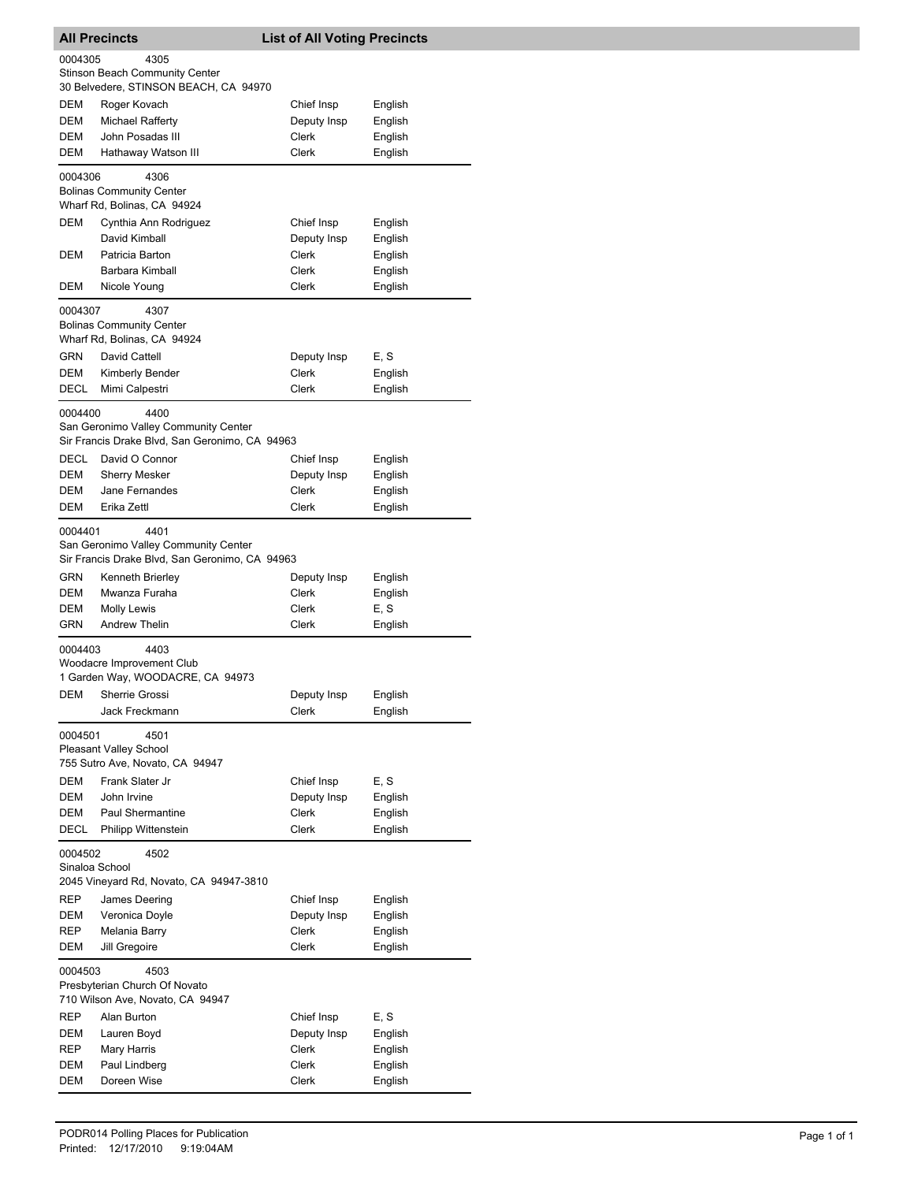| <b>All Precincts</b>      |                                                                                                                                     | <b>List of All Voting Precincts</b> |                    |  |  |
|---------------------------|-------------------------------------------------------------------------------------------------------------------------------------|-------------------------------------|--------------------|--|--|
|                           | 0004305<br>4305<br><b>Stinson Beach Community Center</b>                                                                            |                                     |                    |  |  |
|                           | 30 Belvedere, STINSON BEACH, CA 94970                                                                                               |                                     |                    |  |  |
| DEM<br>DEM                | Roger Kovach                                                                                                                        | Chief Insp                          | English            |  |  |
| DEM                       | Michael Rafferty<br>John Posadas III                                                                                                | Deputy Insp<br>Clerk                | English<br>English |  |  |
| <b>DEM</b>                | Hathaway Watson III                                                                                                                 | <b>Clerk</b>                        | English            |  |  |
|                           |                                                                                                                                     |                                     |                    |  |  |
| 0004306                   | 4306<br><b>Bolinas Community Center</b><br>Wharf Rd, Bolinas, CA 94924                                                              |                                     |                    |  |  |
| DEM                       | Cynthia Ann Rodriguez                                                                                                               | Chief Insp                          | English            |  |  |
|                           | David Kimball                                                                                                                       | Deputy Insp                         | English            |  |  |
| DEM                       | Patricia Barton                                                                                                                     | Clerk                               | English            |  |  |
|                           | Barbara Kimball                                                                                                                     | Clerk                               | English            |  |  |
| DEM                       | Nicole Young                                                                                                                        | Clerk                               | English            |  |  |
| 0004307                   | 4307<br><b>Bolinas Community Center</b><br>Wharf Rd, Bolinas, CA 94924                                                              |                                     |                    |  |  |
| <b>GRN</b>                | David Cattell                                                                                                                       | Deputy Insp                         | E, S               |  |  |
| DEM                       | Kimberly Bender                                                                                                                     | Clerk                               | English            |  |  |
| DECL                      | Mimi Calpestri                                                                                                                      | Clerk                               | English            |  |  |
| 0004400                   | 4400<br>San Geronimo Valley Community Center<br>Sir Francis Drake Blvd, San Geronimo, CA 94963                                      |                                     |                    |  |  |
| <b>DECL</b>               | David O Connor                                                                                                                      | Chief Insp                          | English            |  |  |
| DEM                       | <b>Sherry Mesker</b>                                                                                                                | Deputy Insp                         | English            |  |  |
| <b>DEM</b>                | Jane Fernandes                                                                                                                      | Clerk                               | English            |  |  |
| DEM                       | Erika Zettl                                                                                                                         | Clerk                               | English            |  |  |
| 0004401<br>GRN<br>DEM     | 4401<br>San Geronimo Valley Community Center<br>Sir Francis Drake Blvd, San Geronimo, CA 94963<br>Kenneth Brierley<br>Mwanza Furaha | Deputy Insp<br>Clerk                | English<br>English |  |  |
| DEM                       | <b>Molly Lewis</b>                                                                                                                  | Clerk                               | E, S               |  |  |
| GRN                       | <b>Andrew Thelin</b>                                                                                                                | Clerk                               | English            |  |  |
| 0004403                   | 4403<br>Woodacre Improvement Club<br>1 Garden Way, WOODACRE, CA 94973                                                               |                                     |                    |  |  |
| <b>DEM</b>                | Sherrie Grossi                                                                                                                      | Deputy Insp                         | English            |  |  |
|                           | Jack Freckmann                                                                                                                      | Clerk                               | English            |  |  |
| 0004501                   | 4501<br><b>Pleasant Valley School</b><br>755 Sutro Ave, Novato, CA 94947                                                            |                                     |                    |  |  |
| <b>DEM</b>                | Frank Slater Jr                                                                                                                     | Chief Insp                          | E.S                |  |  |
| DEM                       | John Irvine                                                                                                                         | Deputy Insp                         | English            |  |  |
| DEM                       | <b>Paul Shermantine</b>                                                                                                             | Clerk                               | English            |  |  |
| <b>DECL</b>               | Philipp Wittenstein                                                                                                                 | <b>Clerk</b>                        | English            |  |  |
| 0004502<br>Sinaloa School | 4502                                                                                                                                |                                     |                    |  |  |
|                           | 2045 Vineyard Rd, Novato, CA 94947-3810                                                                                             |                                     |                    |  |  |
| REP                       | James Deering                                                                                                                       | Chief Insp                          | English            |  |  |
| DEM                       | Veronica Doyle                                                                                                                      | Deputy Insp                         | English            |  |  |
| <b>REP</b><br>DEM         | Melania Barry<br>Jill Gregoire                                                                                                      | Clerk<br>Clerk                      | English<br>English |  |  |
|                           |                                                                                                                                     |                                     |                    |  |  |
| 0004503                   | 4503<br>Presbyterian Church Of Novato<br>710 Wilson Ave, Novato, CA 94947                                                           |                                     |                    |  |  |
| REP                       | Alan Burton                                                                                                                         | Chief Insp                          | E, S               |  |  |
| DEM                       | Lauren Boyd                                                                                                                         | Deputy Insp                         | English            |  |  |
| REP                       | Mary Harris                                                                                                                         | Clerk                               | English            |  |  |
| DEM                       | Paul Lindberg                                                                                                                       | Clerk                               | English            |  |  |
| DEM                       | Doreen Wise                                                                                                                         | Clerk                               | English            |  |  |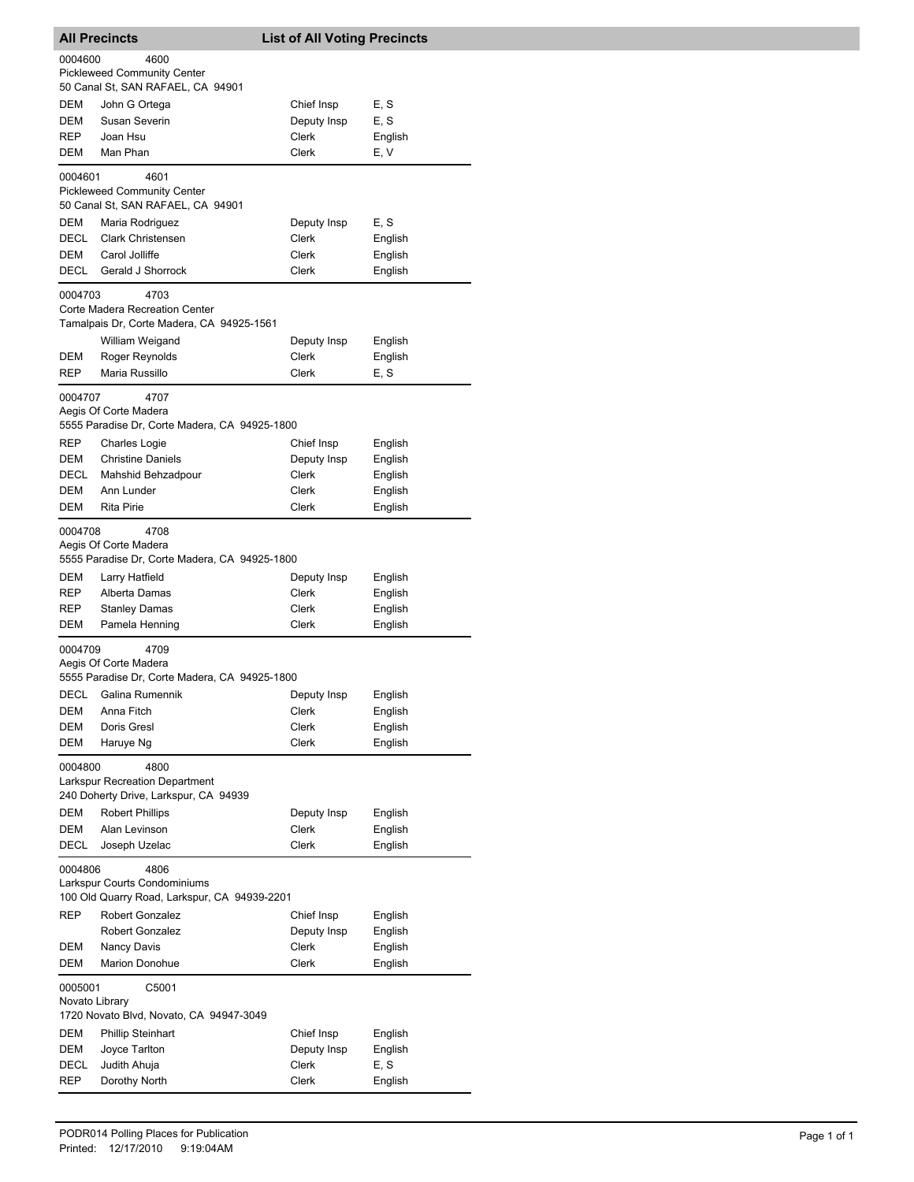|                                                                                                 | <b>All Precincts</b>                                                                | <b>List of All Voting Precincts</b> |                         |
|-------------------------------------------------------------------------------------------------|-------------------------------------------------------------------------------------|-------------------------------------|-------------------------|
| 0004600                                                                                         | 4600<br><b>Pickleweed Community Center</b><br>50 Canal St, SAN RAFAEL, CA 94901     |                                     |                         |
| DEM<br>DEM<br>REP                                                                               | John G Ortega<br>Susan Severin<br>Joan Hsu                                          | Chief Insp<br>Deputy Insp<br>Clerk  | E, S<br>E, S<br>English |
| DEM                                                                                             | Man Phan                                                                            | Clerk                               | E, V                    |
| 0004601                                                                                         | 4601<br><b>Pickleweed Community Center</b><br>50 Canal St, SAN RAFAEL, CA 94901     |                                     |                         |
| <b>DEM</b>                                                                                      | Maria Rodriguez                                                                     | Deputy Insp                         | E, S                    |
| <b>DECL</b><br>DEM                                                                              | <b>Clark Christensen</b><br>Carol Jolliffe                                          | Clerk<br>Clerk                      | English<br>English      |
| DECL                                                                                            | Gerald J Shorrock                                                                   | Clerk                               | English                 |
| 0004703                                                                                         | 4703<br>Corte Madera Recreation Center<br>Tamalpais Dr, Corte Madera, CA 94925-1561 |                                     |                         |
|                                                                                                 | William Weigand                                                                     | Deputy Insp                         | English                 |
| <b>DEM</b><br>REP                                                                               | Roger Reynolds<br>Maria Russillo                                                    | <b>Clerk</b><br>Clerk               | English<br>E, S         |
| 0004707                                                                                         | 4707<br>Aegis Of Corte Madera<br>5555 Paradise Dr, Corte Madera, CA 94925-1800      |                                     |                         |
| <b>REP</b>                                                                                      | <b>Charles Logie</b>                                                                | Chief Insp                          | English                 |
| DEM                                                                                             | <b>Christine Daniels</b>                                                            | Deputy Insp                         | English                 |
| DECL<br>DEM                                                                                     | Mahshid Behzadpour<br>Ann Lunder                                                    | Clerk<br>Clerk                      | English<br>English      |
| DEM                                                                                             | <b>Rita Pirie</b>                                                                   | Clerk                               | English                 |
| 0004708                                                                                         | 4708<br>Aegis Of Corte Madera<br>5555 Paradise Dr, Corte Madera, CA 94925-1800      |                                     |                         |
| DEM                                                                                             | Larry Hatfield                                                                      | Deputy Insp                         | English                 |
| REP<br>REP                                                                                      | Alberta Damas<br><b>Stanley Damas</b>                                               | Clerk<br>Clerk                      | English<br>English      |
| DEM                                                                                             | Pamela Henning                                                                      | Clerk                               | English                 |
| 0004709                                                                                         | 4709<br>Aegis Of Corte Madera<br>5555 Paradise Dr, Corte Madera, CA 94925-1800      |                                     |                         |
| DECL                                                                                            | Galina Rumennik                                                                     | Deputy Insp                         | English                 |
| DEM                                                                                             | Anna Fitch                                                                          | Clerk                               | English                 |
| <b>DEM</b><br>DEM                                                                               | Doris Gresl<br>Haruye Ng                                                            | Clerk<br>Clerk                      | English<br>English      |
| 0004800                                                                                         | 4800<br><b>Larkspur Recreation Department</b>                                       |                                     |                         |
|                                                                                                 | 240 Doherty Drive, Larkspur, CA 94939                                               |                                     |                         |
| DEM                                                                                             | <b>Robert Phillips</b>                                                              | Deputy Insp                         | English                 |
| DEM                                                                                             | Alan Levinson                                                                       | Clerk                               | English                 |
| DECL                                                                                            | Joseph Uzelac                                                                       | Clerk                               | English                 |
| 0004806<br>4806<br>Larkspur Courts Condominiums<br>100 Old Quarry Road, Larkspur, CA 94939-2201 |                                                                                     |                                     |                         |
| <b>REP</b>                                                                                      | Robert Gonzalez                                                                     | Chief Insp                          | English                 |
| DEM                                                                                             | <b>Robert Gonzalez</b><br>Nancy Davis                                               | Deputy Insp<br>Clerk                | English<br>English      |
| DEM                                                                                             | <b>Marion Donohue</b>                                                               | Clerk                               | English                 |
| 0005001<br>Novato Library                                                                       | C5001                                                                               |                                     |                         |
| DEM                                                                                             | 1720 Novato Blvd, Novato, CA 94947-3049<br><b>Phillip Steinhart</b>                 | Chief Insp                          | English                 |
| <b>DEM</b>                                                                                      | Joyce Tarlton                                                                       | Deputy Insp                         | English                 |
| DECL                                                                                            | Judith Ahuja                                                                        | Clerk                               | E, S                    |
| REP                                                                                             | Dorothy North                                                                       | Clerk                               | English                 |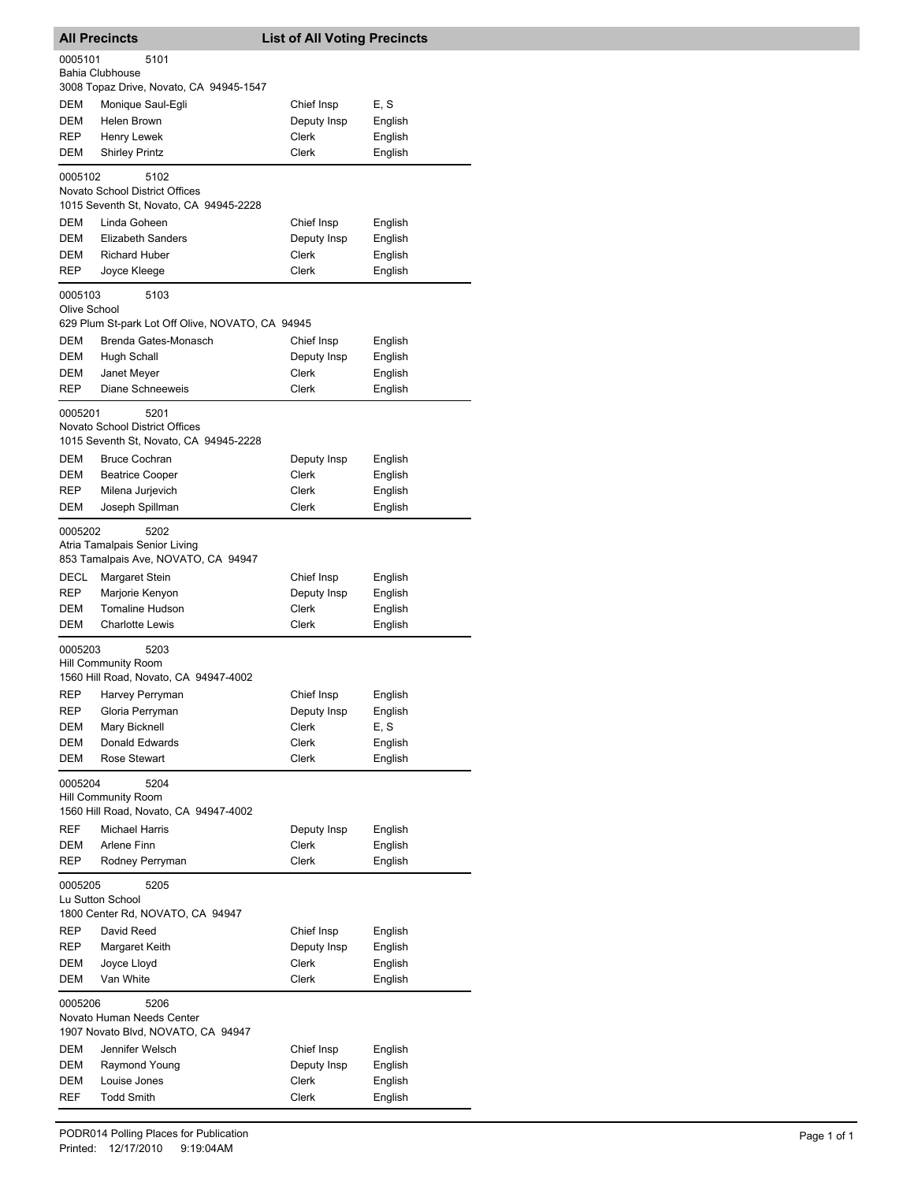|                                                      | <b>All Precincts</b>                                                         | <b>List of All Voting Precincts</b> |                    |
|------------------------------------------------------|------------------------------------------------------------------------------|-------------------------------------|--------------------|
| 0005101                                              | 5101<br>Bahia Clubhouse                                                      |                                     |                    |
|                                                      | 3008 Topaz Drive, Novato, CA 94945-1547                                      |                                     |                    |
| DEM                                                  | Monique Saul-Egli                                                            | Chief Insp                          | E, S               |
| DEM                                                  | Helen Brown                                                                  | Deputy Insp                         | English            |
| REP                                                  | Henry Lewek                                                                  | Clerk                               | English            |
| DEM                                                  | <b>Shirley Printz</b>                                                        | Clerk                               | English            |
| 0005102                                              | 5102<br>Novato School District Offices                                       |                                     |                    |
|                                                      | 1015 Seventh St, Novato, CA 94945-2228                                       |                                     |                    |
| DEM                                                  | Linda Goheen                                                                 | Chief Insp                          | English            |
| DEM                                                  | <b>Elizabeth Sanders</b>                                                     | Deputy Insp                         | English            |
| DEM<br>REP                                           | <b>Richard Huber</b><br>Joyce Kleege                                         | Clerk<br>Clerk                      | English<br>English |
|                                                      |                                                                              |                                     |                    |
| 0005103<br>Olive School                              | 5103<br>629 Plum St-park Lot Off Olive, NOVATO, CA 94945                     |                                     |                    |
| DEM                                                  | Brenda Gates-Monasch                                                         | Chief Insp                          | English            |
| DEM                                                  | Hugh Schall                                                                  | Deputy Insp                         | English            |
| DEM                                                  | Janet Meyer                                                                  | Clerk                               | English            |
| REP                                                  | Diane Schneeweis                                                             | Clerk                               | English            |
| 0005201                                              | 5201                                                                         |                                     |                    |
|                                                      | Novato School District Offices<br>1015 Seventh St, Novato, CA 94945-2228     |                                     |                    |
| DEM                                                  | <b>Bruce Cochran</b>                                                         | Deputy Insp                         | English            |
| DEM                                                  | <b>Beatrice Cooper</b>                                                       | Clerk                               | English            |
| REP                                                  | Milena Jurjevich                                                             | Clerk                               | English            |
| DEM                                                  | Joseph Spillman                                                              | Clerk                               | English            |
| 0005202                                              | 5202<br>Atria Tamalpais Senior Living<br>853 Tamalpais Ave, NOVATO, CA 94947 |                                     |                    |
| DECL                                                 | Margaret Stein                                                               | Chief Insp                          | English            |
| REP                                                  | Marjorie Kenyon                                                              | Deputy Insp                         | English            |
| DEM                                                  | <b>Tomaline Hudson</b>                                                       | <b>Clerk</b>                        | English            |
| DEM                                                  | <b>Charlotte Lewis</b>                                                       | Clerk                               | English            |
| 0005203                                              | 5203<br>Hill Community Room<br>1560 Hill Road, Novato, CA 94947-4002         |                                     |                    |
| REP                                                  | Harvey Perryman                                                              | Chief Insp                          | English            |
| REP                                                  | Gloria Perryman                                                              | Deputy Insp                         | English            |
| DEM                                                  | Mary Bicknell                                                                | <b>Clerk</b>                        | E, S               |
| DEM                                                  | Donald Edwards                                                               | Clerk                               | English            |
| DEM                                                  | Rose Stewart                                                                 | Clerk                               | English            |
| 0005204                                              | 5204<br><b>Hill Community Room</b>                                           |                                     |                    |
|                                                      | 1560 Hill Road, Novato, CA 94947-4002                                        |                                     |                    |
| REF                                                  | <b>Michael Harris</b>                                                        | Deputy Insp                         | English            |
| DEM                                                  | Arlene Finn                                                                  | Clerk                               | English            |
| <b>REP</b><br>0005205                                | Rodney Perryman<br>5205                                                      | Clerk                               | English            |
| Lu Sutton School<br>1800 Center Rd, NOVATO, CA 94947 |                                                                              |                                     |                    |
| REP                                                  | David Reed                                                                   | Chief Insp                          | English            |
| REP                                                  | Margaret Keith                                                               | Deputy Insp                         | English            |
| DEM                                                  | Joyce Lloyd                                                                  | Clerk                               | English            |
| DEM                                                  | Van White                                                                    | Clerk                               | English            |
| 0005206                                              | 5206                                                                         |                                     |                    |
|                                                      | Novato Human Needs Center<br>1907 Novato Blvd, NOVATO, CA 94947              |                                     |                    |
| DEM                                                  | Jennifer Welsch                                                              | Chief Insp                          | English            |
| DEM                                                  | Raymond Young                                                                | Deputy Insp                         | English            |
| DEM                                                  | Louise Jones                                                                 | Clerk                               | English            |
| REF                                                  | <b>Todd Smith</b>                                                            | Clerk                               | English            |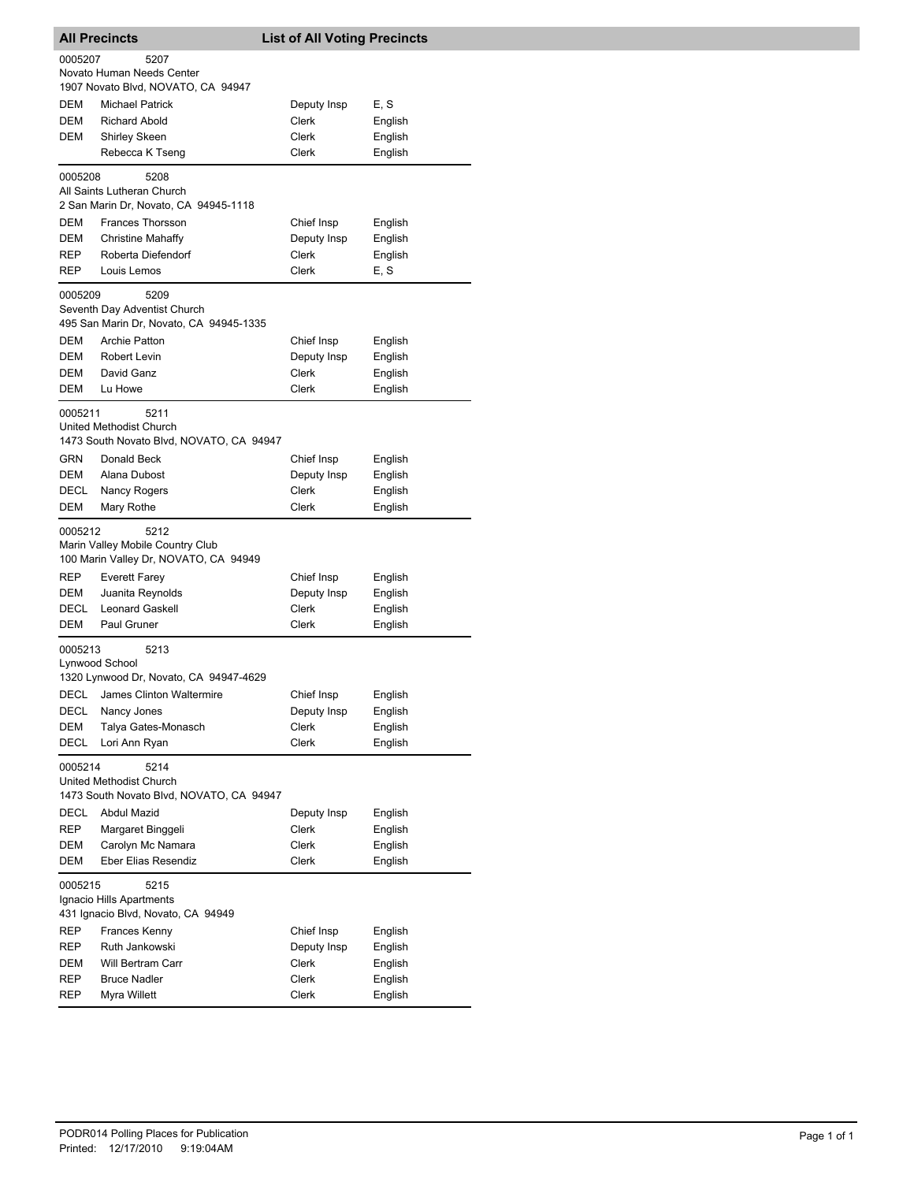| <b>All Precincts</b>      |                                                                                   | <b>List of All Voting Precincts</b> |         |
|---------------------------|-----------------------------------------------------------------------------------|-------------------------------------|---------|
| 0005207                   | 5207<br>Novato Human Needs Center<br>1907 Novato Blvd, NOVATO, CA 94947           |                                     |         |
| DEM                       | <b>Michael Patrick</b>                                                            | Deputy Insp                         | E, S    |
| DEM                       | <b>Richard Abold</b>                                                              | Clerk                               | English |
| DEM                       | Shirley Skeen                                                                     | Clerk                               | English |
|                           | Rebecca K Tseng                                                                   | Clerk                               | English |
| 0005208                   | 5208<br>All Saints Lutheran Church                                                |                                     |         |
|                           | 2 San Marin Dr, Novato, CA 94945-1118                                             |                                     |         |
| DEM                       | <b>Frances Thorsson</b>                                                           | Chief Insp                          | English |
| DEM                       | <b>Christine Mahaffy</b>                                                          | Deputy Insp                         | English |
| REP                       | Roberta Diefendorf<br>Louis Lemos                                                 | Clerk<br>Clerk                      | English |
| REP<br>0005209            | 5209                                                                              |                                     | E, S    |
|                           | Seventh Day Adventist Church                                                      |                                     |         |
|                           | 495 San Marin Dr, Novato, CA 94945-1335                                           |                                     |         |
| DEM                       | <b>Archie Patton</b>                                                              | Chief Insp                          | English |
| <b>DEM</b>                | <b>Robert Levin</b>                                                               | Deputy Insp                         | English |
| DEM                       | David Ganz                                                                        | Clerk                               | English |
| DEM                       | Lu Howe                                                                           | Clerk                               | English |
| 0005211                   | 5211<br>United Methodist Church<br>1473 South Novato Blvd, NOVATO, CA 94947       |                                     |         |
| GRN                       | Donald Beck                                                                       | Chief Insp                          | English |
| DEM                       | Alana Dubost                                                                      | Deputy Insp                         | English |
| DECL                      | Nancy Rogers                                                                      | Clerk                               | English |
| DEM                       | Mary Rothe                                                                        | Clerk                               | English |
| 0005212                   | 5212<br>Marin Valley Mobile Country Club<br>100 Marin Valley Dr, NOVATO, CA 94949 |                                     |         |
| REP                       | <b>Everett Farey</b>                                                              | Chief Insp                          | English |
| DEM                       | Juanita Reynolds                                                                  | Deputy Insp                         | English |
| <b>DECL</b>               | <b>Leonard Gaskell</b>                                                            | Clerk                               | English |
| DEM                       | Paul Gruner                                                                       | Clerk                               | English |
| 0005213<br>Lynwood School | 5213<br>1320 Lynwood Dr, Novato, CA 94947-4629                                    |                                     |         |
|                           | DECL James Clinton Waltermire                                                     | Chief Insp                          | English |
| DECL                      | Nancy Jones                                                                       | Deputy Insp                         | English |
| DEM                       | Talya Gates-Monasch                                                               | Clerk                               | English |
| DECL                      | Lori Ann Ryan                                                                     | Clerk                               | English |
| 0005214                   | 5214<br>United Methodist Church<br>1473 South Novato Blvd, NOVATO, CA 94947       |                                     |         |
| DECL                      | <b>Abdul Mazid</b>                                                                | Deputy Insp                         | English |
| REP                       | Margaret Binggeli                                                                 | Clerk                               | English |
| DEM                       | Carolyn Mc Namara                                                                 | Clerk                               | English |
| DEM                       | Eber Elias Resendiz                                                               | Clerk                               | English |
| 0005215                   | 5215<br>Ignacio Hills Apartments<br>431 Ignacio Blvd, Novato, CA 94949            |                                     |         |
| REP                       | Frances Kenny                                                                     | Chief Insp                          | English |
| REP                       | Ruth Jankowski                                                                    | Deputy Insp                         | English |
| DEM                       | Will Bertram Carr                                                                 | Clerk                               | English |
| REP                       | <b>Bruce Nadler</b>                                                               | Clerk                               | English |
| REP                       | Myra Willett                                                                      | Clerk                               | English |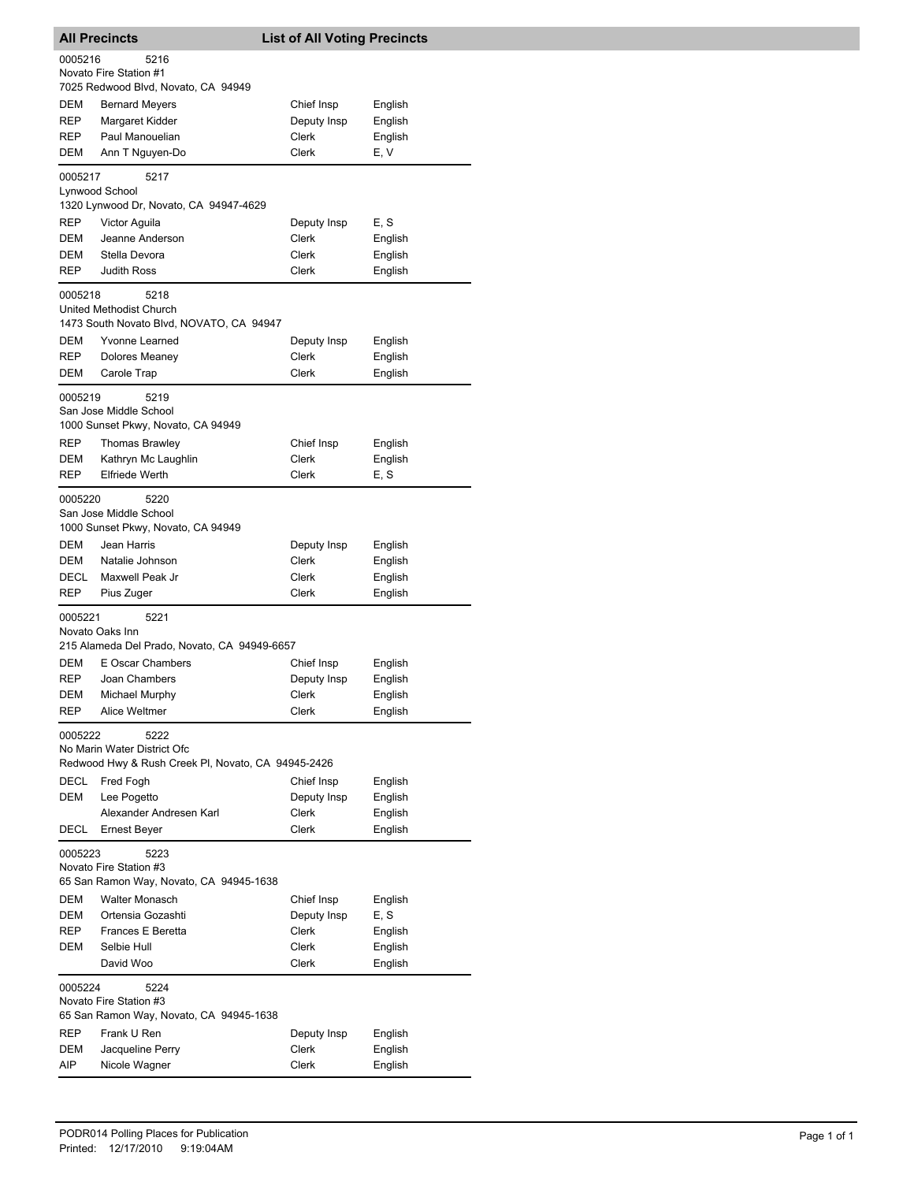|                                                                                      | <b>All Precincts</b>                                                      | <b>List of All Voting Precincts</b> |                    |
|--------------------------------------------------------------------------------------|---------------------------------------------------------------------------|-------------------------------------|--------------------|
| 0005216                                                                              | 5216<br>Novato Fire Station #1                                            |                                     |                    |
|                                                                                      | 7025 Redwood Blvd, Novato, CA 94949                                       |                                     |                    |
| DEM                                                                                  | <b>Bernard Meyers</b>                                                     | Chief Insp                          | English            |
| REP<br>REP                                                                           | Margaret Kidder<br>Paul Manouelian                                        | Deputy Insp<br>Clerk                | English<br>English |
| DEM                                                                                  | Ann T Nguyen-Do                                                           | Clerk                               | E, V               |
| 0005217                                                                              | 5217                                                                      |                                     |                    |
|                                                                                      | Lynwood School<br>1320 Lynwood Dr, Novato, CA 94947-4629                  |                                     |                    |
| REP                                                                                  | Victor Aguila                                                             | Deputy Insp                         | E, S               |
| DEM<br>DEM                                                                           | Jeanne Anderson<br>Stella Devora                                          | Clerk<br>Clerk                      | English<br>English |
| REP                                                                                  | <b>Judith Ross</b>                                                        | Clerk                               | English            |
| 0005218                                                                              | 5218<br>United Methodist Church                                           |                                     |                    |
| DEM                                                                                  | 1473 South Novato Blvd, NOVATO, CA 94947<br>Yvonne Learned                | Deputy Insp                         | English            |
| REP                                                                                  | Dolores Meaney                                                            | Clerk                               | English            |
| DEM                                                                                  | Carole Trap                                                               | Clerk                               | English            |
| 0005219                                                                              | 5219<br>San Jose Middle School<br>1000 Sunset Pkwy, Novato, CA 94949      |                                     |                    |
| REP                                                                                  | <b>Thomas Brawley</b>                                                     | Chief Insp                          | English            |
| DEM                                                                                  | Kathryn Mc Laughlin                                                       | Clerk                               | English            |
| REP                                                                                  | <b>Elfriede Werth</b>                                                     | Clerk                               | E, S               |
| 0005220                                                                              | 5220<br>San Jose Middle School<br>1000 Sunset Pkwy, Novato, CA 94949      |                                     |                    |
| DEM                                                                                  | Jean Harris                                                               | Deputy Insp                         | English            |
| DEM                                                                                  | Natalie Johnson                                                           | Clerk                               | English            |
| DECL                                                                                 | Maxwell Peak Jr                                                           | Clerk                               | English            |
| REP                                                                                  | Pius Zuger                                                                | Clerk                               | English            |
| 0005221                                                                              | 5221<br>Novato Oaks Inn<br>215 Alameda Del Prado, Novato, CA 94949-6657   |                                     |                    |
| DEM                                                                                  | E Oscar Chambers                                                          | Chief Insp                          | English            |
| REP                                                                                  | Joan Chambers                                                             | Deputy Insp                         | English            |
| DEM                                                                                  | Michael Murphy                                                            | Clerk                               | English            |
| REP                                                                                  | Alice Weltmer                                                             | Clerk                               | English            |
| 0005222                                                                              | 5222<br>No Marin Water District Ofc                                       |                                     |                    |
| DECL                                                                                 | Redwood Hwy & Rush Creek Pl, Novato, CA 94945-2426                        | Chief Insp                          |                    |
| DEM                                                                                  | Fred Fogh<br>Lee Pogetto                                                  | Deputy Insp                         | English<br>English |
|                                                                                      | Alexander Andresen Karl                                                   | Clerk                               | English            |
| DECL                                                                                 | <b>Ernest Beyer</b>                                                       | Clerk                               | English            |
| 0005223<br>5223<br>Novato Fire Station #3<br>65 San Ramon Way, Novato, CA 94945-1638 |                                                                           |                                     |                    |
| DEM                                                                                  | <b>Walter Monasch</b>                                                     | Chief Insp                          | English            |
| <b>DEM</b>                                                                           | Ortensia Gozashti                                                         | Deputy Insp                         | E, S               |
| <b>REP</b>                                                                           | Frances E Beretta                                                         | Clerk                               | English            |
| DEM                                                                                  | Selbie Hull                                                               | Clerk                               | English            |
|                                                                                      | David Woo                                                                 | Clerk                               | English            |
| 0005224                                                                              | 5224<br>Novato Fire Station #3<br>65 San Ramon Way, Novato, CA 94945-1638 |                                     |                    |
| REP                                                                                  | Frank U Ren                                                               | Deputy Insp                         | English            |
| <b>DEM</b>                                                                           | Jacqueline Perry                                                          | Clerk                               | English            |
| AIP                                                                                  | Nicole Wagner                                                             | Clerk                               | English            |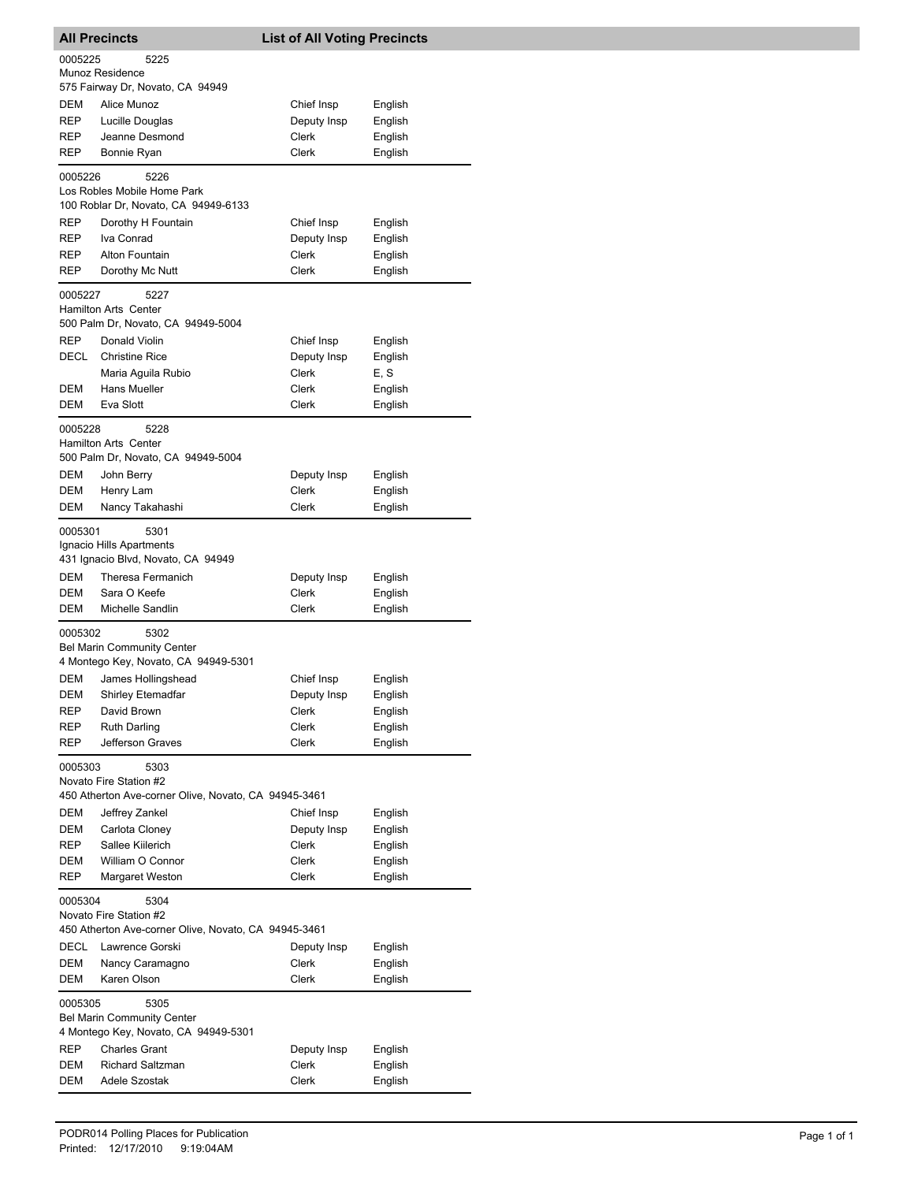| <b>All Precincts</b>                                                                         |                                                                                        | <b>List of All Voting Precincts</b> |                    |
|----------------------------------------------------------------------------------------------|----------------------------------------------------------------------------------------|-------------------------------------|--------------------|
| 0005225                                                                                      | 5225<br>Munoz Residence                                                                |                                     |                    |
|                                                                                              | 575 Fairway Dr, Novato, CA 94949                                                       |                                     |                    |
| DEM                                                                                          | Alice Munoz                                                                            | Chief Insp                          | English            |
| REP                                                                                          | Lucille Douglas                                                                        | Deputy Insp                         | English            |
| REP                                                                                          | Jeanne Desmond                                                                         | Clerk                               | English            |
| REP                                                                                          | Bonnie Ryan                                                                            | Clerk                               | English            |
| 0005226                                                                                      | 5226<br>Los Robles Mobile Home Park<br>100 Roblar Dr, Novato, CA 94949-6133            |                                     |                    |
| REP                                                                                          | Dorothy H Fountain                                                                     | Chief Insp                          | English            |
| REP                                                                                          | Iva Conrad                                                                             | Deputy Insp                         | English            |
| REP                                                                                          | Alton Fountain                                                                         | Clerk                               | English            |
| REP                                                                                          | Dorothy Mc Nutt                                                                        | <b>Clerk</b>                        | English            |
| 0005227                                                                                      | 5227<br>Hamilton Arts Center                                                           |                                     |                    |
| REP                                                                                          | 500 Palm Dr, Novato, CA 94949-5004<br>Donald Violin                                    |                                     |                    |
| DECL                                                                                         | <b>Christine Rice</b>                                                                  | Chief Insp<br>Deputy Insp           | English<br>English |
|                                                                                              | Maria Aguila Rubio                                                                     | Clerk                               | E, S               |
| DEM                                                                                          | Hans Mueller                                                                           | Clerk                               | English            |
| DEM                                                                                          | Eva Slott                                                                              | <b>Clerk</b>                        | English            |
| 0005228                                                                                      | 5228<br><b>Hamilton Arts Center</b>                                                    |                                     |                    |
|                                                                                              | 500 Palm Dr, Novato, CA 94949-5004                                                     |                                     |                    |
| DEM<br>DEM                                                                                   | John Berry<br>Henry Lam                                                                | Deputy Insp<br>Clerk                | English<br>English |
| DEM                                                                                          | Nancy Takahashi                                                                        | Clerk                               | English            |
| 0005301                                                                                      | 5301<br>Ignacio Hills Apartments<br>431 Ignacio Blvd, Novato, CA 94949                 |                                     |                    |
| DEM                                                                                          | Theresa Fermanich                                                                      | Deputy Insp                         | English            |
| DEM                                                                                          | Sara O Keefe                                                                           | Clerk                               | English            |
| DEM                                                                                          | Michelle Sandlin                                                                       | Clerk                               | English            |
| 0005302                                                                                      | 5302<br><b>Bel Marin Community Center</b><br>4 Montego Key, Novato, CA 94949-5301      |                                     |                    |
| DEM                                                                                          | James Hollingshead                                                                     | Chief Insp                          | English            |
| DEM                                                                                          | Shirley Etemadfar                                                                      | Deputy Insp                         | English            |
| REP                                                                                          | David Brown                                                                            | Clerk                               | English            |
| <b>REP</b>                                                                                   | <b>Ruth Darling</b>                                                                    | Clerk                               | English            |
| REP                                                                                          | Jefferson Graves                                                                       | Clerk                               | English            |
| 0005303                                                                                      | 5303<br>Novato Fire Station #2<br>450 Atherton Ave-corner Olive, Novato, CA 94945-3461 |                                     |                    |
| DEM                                                                                          | Jeffrey Zankel                                                                         | Chief Insp                          | English            |
| DEM                                                                                          | Carlota Cloney                                                                         | Deputy Insp                         | English            |
| REP                                                                                          | Sallee Kiilerich                                                                       | Clerk                               | English            |
| DEM                                                                                          | William O Connor                                                                       | Clerk                               | English            |
| REP                                                                                          | Margaret Weston                                                                        | Clerk                               | English            |
| 0005304                                                                                      | 5304<br>Novato Fire Station #2                                                         |                                     |                    |
| DECL                                                                                         | 450 Atherton Ave-corner Olive, Novato, CA 94945-3461<br>Lawrence Gorski                | Deputy Insp                         | English            |
| DEM                                                                                          | Nancy Caramagno                                                                        | Clerk                               | English            |
| DEM                                                                                          | Karen Olson                                                                            | Clerk                               | English            |
| 0005305<br>5305<br><b>Bel Marin Community Center</b><br>4 Montego Key, Novato, CA 94949-5301 |                                                                                        |                                     |                    |
| <b>REP</b>                                                                                   | <b>Charles Grant</b>                                                                   | Deputy Insp                         | English            |
| DEM                                                                                          | <b>Richard Saltzman</b>                                                                | Clerk                               | English            |
| DEM                                                                                          | Adele Szostak                                                                          | Clerk                               | English            |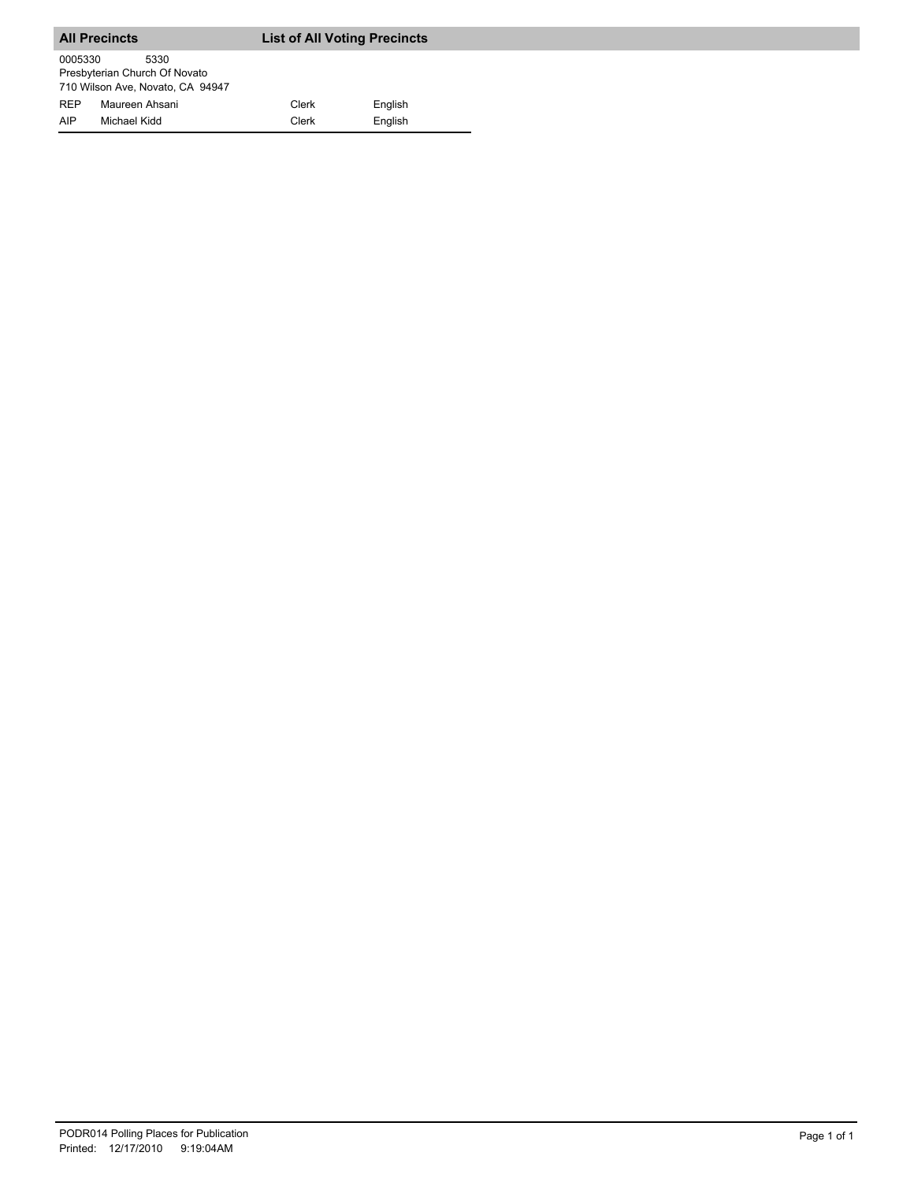|                   | <b>All Precincts</b>                                                      | <b>List of All Voting Precincts</b> |                    |
|-------------------|---------------------------------------------------------------------------|-------------------------------------|--------------------|
| 0005330           | 5330<br>Presbyterian Church Of Novato<br>710 Wilson Ave, Novato, CA 94947 |                                     |                    |
| <b>RFP</b><br>AIP | Maureen Ahsani<br>Michael Kidd                                            | Clerk<br>Clerk                      | English<br>English |